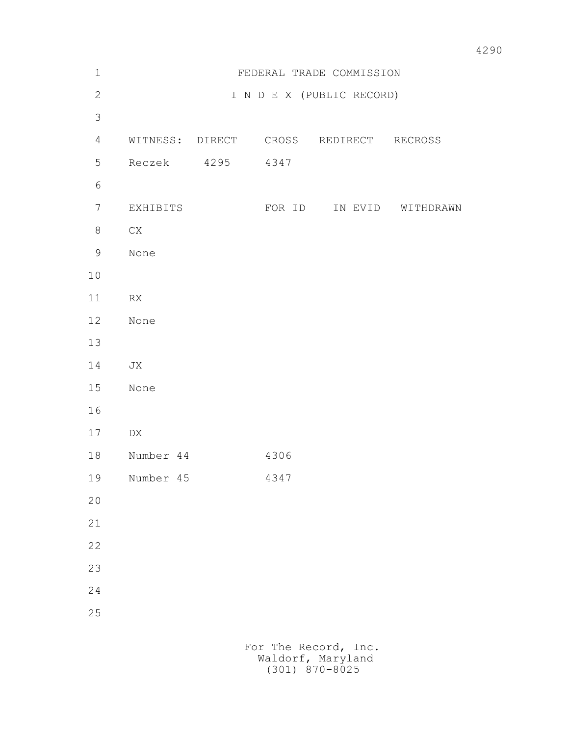| $1\,$          | FEDERAL TRADE COMMISSION |  |        |                                        |                   |
|----------------|--------------------------|--|--------|----------------------------------------|-------------------|
| $\mathbf{2}$   |                          |  |        | I N D E X (PUBLIC RECORD)              |                   |
| $\mathfrak{Z}$ |                          |  |        |                                        |                   |
| $\overline{4}$ |                          |  |        | WITNESS: DIRECT CROSS REDIRECT RECROSS |                   |
| 5              | Reczek 4295              |  | 4347   |                                        |                   |
| $\epsilon$     |                          |  |        |                                        |                   |
| $\overline{7}$ | EXHIBITS                 |  | FOR ID |                                        | IN EVID WITHDRAWN |
| 8              | ${\rm CX}$               |  |        |                                        |                   |
| $\mathsf 9$    | None                     |  |        |                                        |                   |
| 10             |                          |  |        |                                        |                   |
| 11             | RX                       |  |        |                                        |                   |
| 12             | None                     |  |        |                                        |                   |
| 13             |                          |  |        |                                        |                   |
| 14             | JX                       |  |        |                                        |                   |
| 15             | None                     |  |        |                                        |                   |
| 16             |                          |  |        |                                        |                   |
| 17             | DX                       |  |        |                                        |                   |
| 18             | Number 44                |  | 4306   |                                        |                   |
| 19             | Number 45                |  | 4347   |                                        |                   |
| 20             |                          |  |        |                                        |                   |
| 21             |                          |  |        |                                        |                   |
| 22             |                          |  |        |                                        |                   |
| 23             |                          |  |        |                                        |                   |
| 24             |                          |  |        |                                        |                   |
| 25             |                          |  |        |                                        |                   |
|                |                          |  |        | For The Record, Inc.                   |                   |

Waldorf, Maryland (301) 870-8025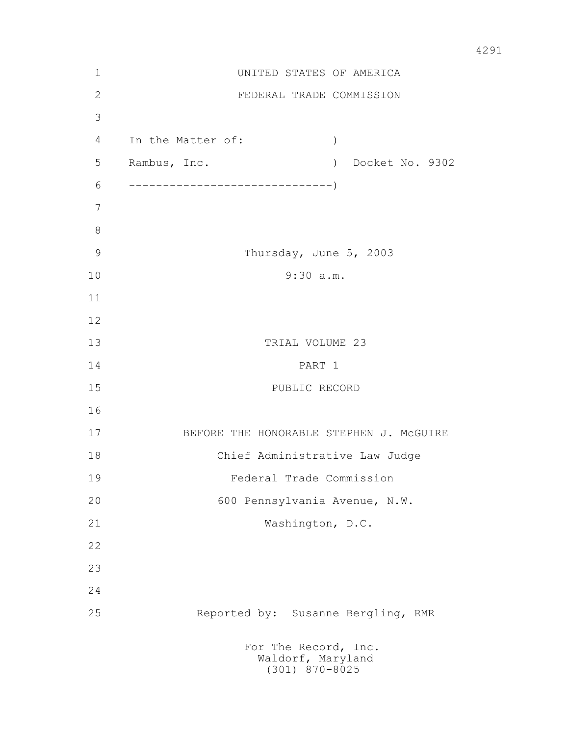| $\mathbf 1$    | UNITED STATES OF AMERICA                                                           |  |  |  |  |  |
|----------------|------------------------------------------------------------------------------------|--|--|--|--|--|
| 2              | FEDERAL TRADE COMMISSION                                                           |  |  |  |  |  |
| 3              |                                                                                    |  |  |  |  |  |
| 4              | In the Matter of:<br>$\left( \right)$                                              |  |  |  |  |  |
| 5              | Rambus, Inc.<br>Docket No. 9302<br>$\left( \begin{array}{c} 1 \end{array} \right)$ |  |  |  |  |  |
| 6              |                                                                                    |  |  |  |  |  |
| 7              |                                                                                    |  |  |  |  |  |
| 8              |                                                                                    |  |  |  |  |  |
| $\overline{9}$ | Thursday, June 5, 2003                                                             |  |  |  |  |  |
| 10             | 9:30 a.m.                                                                          |  |  |  |  |  |
| 11             |                                                                                    |  |  |  |  |  |
| 12             |                                                                                    |  |  |  |  |  |
| 13             | TRIAL VOLUME 23                                                                    |  |  |  |  |  |
| 14             | PART 1                                                                             |  |  |  |  |  |
| 15             | PUBLIC RECORD                                                                      |  |  |  |  |  |
| 16             |                                                                                    |  |  |  |  |  |
| 17             | BEFORE THE HONORABLE STEPHEN J. MCGUIRE                                            |  |  |  |  |  |
| 18             | Chief Administrative Law Judge                                                     |  |  |  |  |  |
| 19             | Federal Trade Commission                                                           |  |  |  |  |  |
| 20             | 600 Pennsylvania Avenue, N.W.                                                      |  |  |  |  |  |
| 21             | Washington, D.C.                                                                   |  |  |  |  |  |
| 22             |                                                                                    |  |  |  |  |  |
| 23             |                                                                                    |  |  |  |  |  |
| 24             |                                                                                    |  |  |  |  |  |
| 25             | Reported by: Susanne Bergling, RMR                                                 |  |  |  |  |  |
|                | For The Record, Inc.<br>Waldorf, Maryland<br>(301) 870-8025                        |  |  |  |  |  |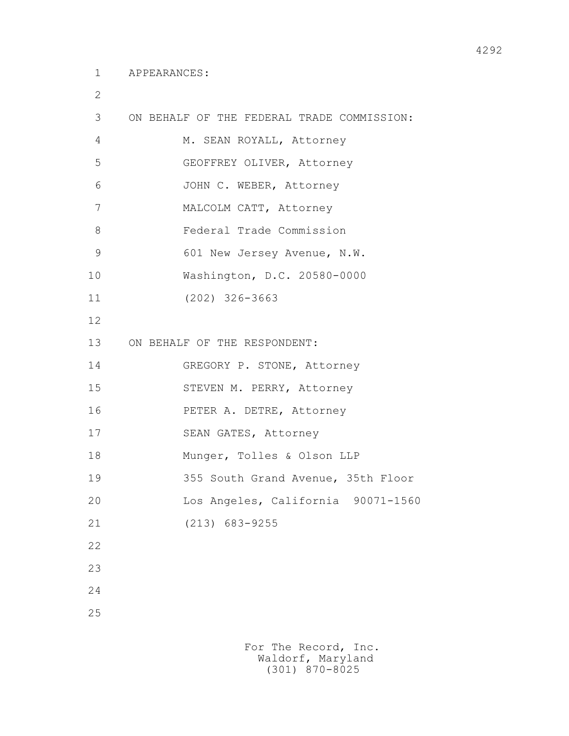2

 3 ON BEHALF OF THE FEDERAL TRADE COMMISSION: 4 M. SEAN ROYALL, Attorney 5 GEOFFREY OLIVER, Attorney 6 JOHN C. WEBER, Attorney 7 MALCOLM CATT, Attorney 8 Federal Trade Commission 9 601 New Jersey Avenue, N.W. 10 Washington, D.C. 20580-0000 11 (202) 326-3663 12 13 ON BEHALF OF THE RESPONDENT: 14 GREGORY P. STONE, Attorney 15 STEVEN M. PERRY, Attorney 16 PETER A. DETRE, Attorney 17 SEAN GATES, Attorney 18 Munger, Tolles & Olson LLP 19 355 South Grand Avenue, 35th Floor 20 Los Angeles, California 90071-1560 21 (213) 683-9255 22 23 24 25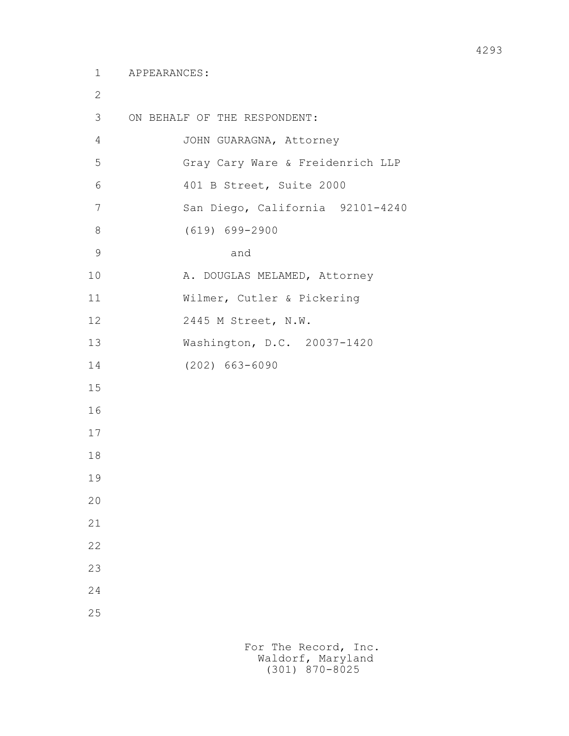2 3 ON BEHALF OF THE RESPONDENT: 4 JOHN GUARAGNA, Attorney 5 Gray Cary Ware & Freidenrich LLP 6 401 B Street, Suite 2000 7 San Diego, California 92101-4240 8 (619) 699-2900 9 and 10 A. DOUGLAS MELAMED, Attorney 11 Wilmer, Cutler & Pickering 12 2445 M Street, N.W. 13 Washington, D.C. 20037-1420 14 (202) 663-6090 15 16 17 18 19 20 21 22 23 24 25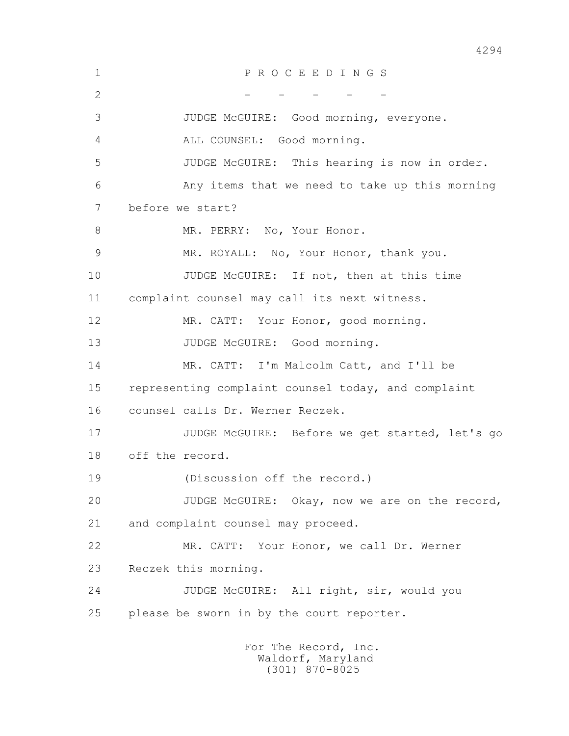1 P R O C E E D I N G S  $2$  - - - - 3 JUDGE McGUIRE: Good morning, everyone. 4 ALL COUNSEL: Good morning. 5 JUDGE McGUIRE: This hearing is now in order. 6 Any items that we need to take up this morning 7 before we start? 8 MR. PERRY: No, Your Honor. 9 MR. ROYALL: No, Your Honor, thank you. 10 JUDGE McGUIRE: If not, then at this time 11 complaint counsel may call its next witness. 12 MR. CATT: Your Honor, good morning. 13 JUDGE McGUIRE: Good morning. 14 MR. CATT: I'm Malcolm Catt, and I'll be 15 representing complaint counsel today, and complaint 16 counsel calls Dr. Werner Reczek. 17 JUDGE McGUIRE: Before we get started, let's go 18 off the record. 19 (Discussion off the record.) 20 JUDGE McGUIRE: Okay, now we are on the record, 21 and complaint counsel may proceed. 22 MR. CATT: Your Honor, we call Dr. Werner 23 Reczek this morning. 24 JUDGE McGUIRE: All right, sir, would you 25 please be sworn in by the court reporter.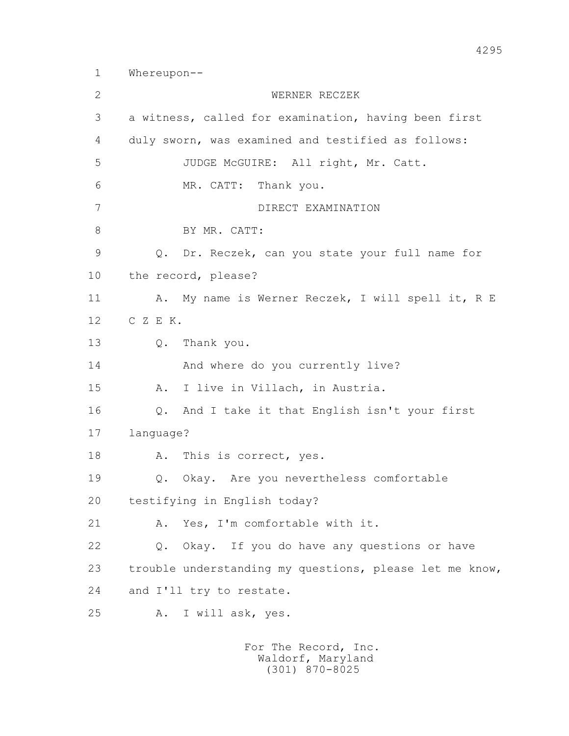1 Whereupon-- 2 WERNER RECZEK 3 a witness, called for examination, having been first 4 duly sworn, was examined and testified as follows: 5 JUDGE McGUIRE: All right, Mr. Catt. 6 MR. CATT: Thank you. 7 DIRECT EXAMINATION 8 BY MR. CATT: 9 Q. Dr. Reczek, can you state your full name for 10 the record, please? 11 A. My name is Werner Reczek, I will spell it, R E 12 C Z E K. 13 Q. Thank you. 14 And where do you currently live? 15 A. I live in Villach, in Austria. 16 Q. And I take it that English isn't your first 17 language? 18 A. This is correct, yes. 19 Q. Okay. Are you nevertheless comfortable 20 testifying in English today? 21 A. Yes, I'm comfortable with it. 22 Q. Okay. If you do have any questions or have 23 trouble understanding my questions, please let me know, 24 and I'll try to restate. 25 A. I will ask, yes.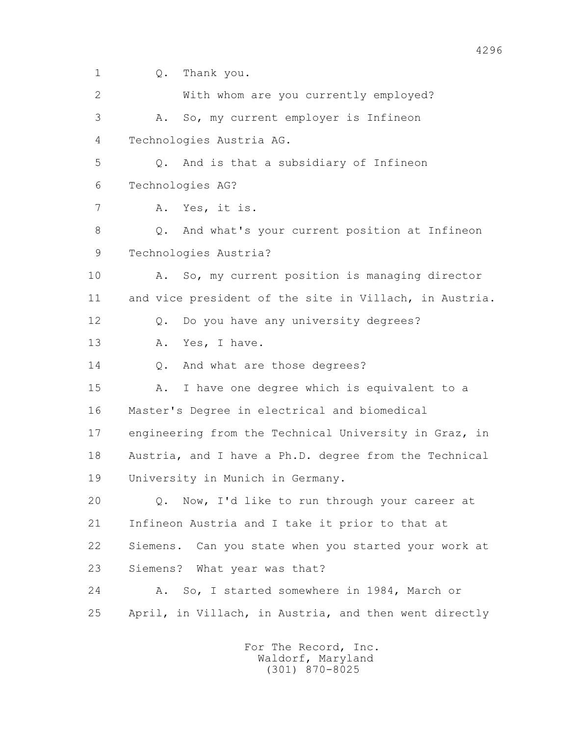1 Q. Thank you. 2 With whom are you currently employed? 3 A. So, my current employer is Infineon 4 Technologies Austria AG. 5 Q. And is that a subsidiary of Infineon 6 Technologies AG? 7 A. Yes, it is. 8 Q. And what's your current position at Infineon 9 Technologies Austria? 10 A. So, my current position is managing director 11 and vice president of the site in Villach, in Austria. 12 Q. Do you have any university degrees? 13 A. Yes, I have. 14 0. And what are those degrees? 15 A. I have one degree which is equivalent to a 16 Master's Degree in electrical and biomedical 17 engineering from the Technical University in Graz, in 18 Austria, and I have a Ph.D. degree from the Technical 19 University in Munich in Germany. 20 Q. Now, I'd like to run through your career at 21 Infineon Austria and I take it prior to that at 22 Siemens. Can you state when you started your work at 23 Siemens? What year was that? 24 A. So, I started somewhere in 1984, March or 25 April, in Villach, in Austria, and then went directly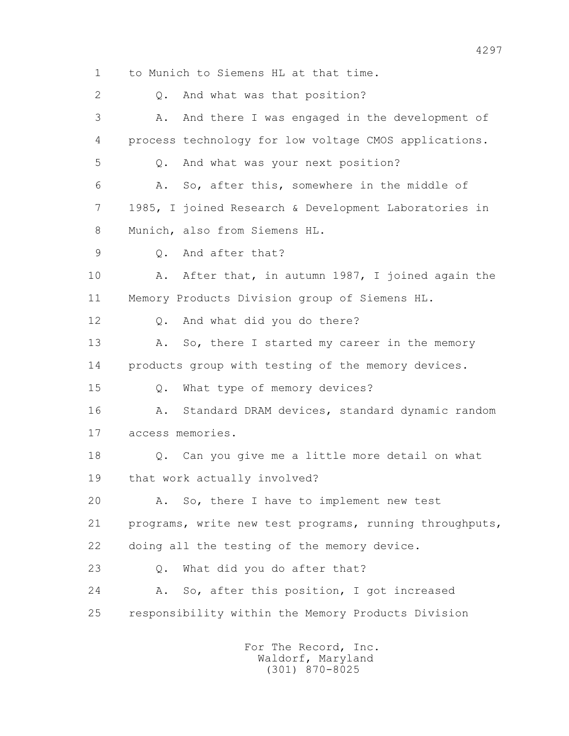1 to Munich to Siemens HL at that time. 2 0. And what was that position? 3 A. And there I was engaged in the development of 4 process technology for low voltage CMOS applications. 5 Q. And what was your next position? 6 A. So, after this, somewhere in the middle of 7 1985, I joined Research & Development Laboratories in 8 Munich, also from Siemens HL. 9 Q. And after that? 10 A. After that, in autumn 1987, I joined again the 11 Memory Products Division group of Siemens HL. 12 Q. And what did you do there? 13 A. So, there I started my career in the memory 14 products group with testing of the memory devices. 15 Q. What type of memory devices? 16 A. Standard DRAM devices, standard dynamic random 17 access memories. 18 Q. Can you give me a little more detail on what 19 that work actually involved? 20 A. So, there I have to implement new test 21 programs, write new test programs, running throughputs, 22 doing all the testing of the memory device. 23 Q. What did you do after that? 24 A. So, after this position, I got increased 25 responsibility within the Memory Products Division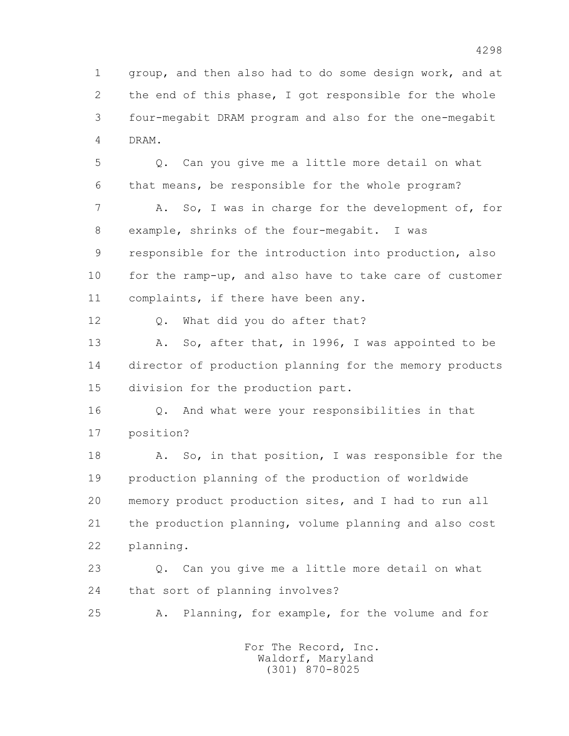1 group, and then also had to do some design work, and at 2 the end of this phase, I got responsible for the whole 3 four-megabit DRAM program and also for the one-megabit 4 DRAM.

 5 Q. Can you give me a little more detail on what 6 that means, be responsible for the whole program? 7 A. So, I was in charge for the development of, for 8 example, shrinks of the four-megabit. I was 9 responsible for the introduction into production, also 10 for the ramp-up, and also have to take care of customer 11 complaints, if there have been any.

12 Q. What did you do after that?

 13 A. So, after that, in 1996, I was appointed to be 14 director of production planning for the memory products 15 division for the production part.

 16 Q. And what were your responsibilities in that 17 position?

18 A. So, in that position, I was responsible for the 19 production planning of the production of worldwide 20 memory product production sites, and I had to run all 21 the production planning, volume planning and also cost 22 planning.

 23 Q. Can you give me a little more detail on what 24 that sort of planning involves?

25 A. Planning, for example, for the volume and for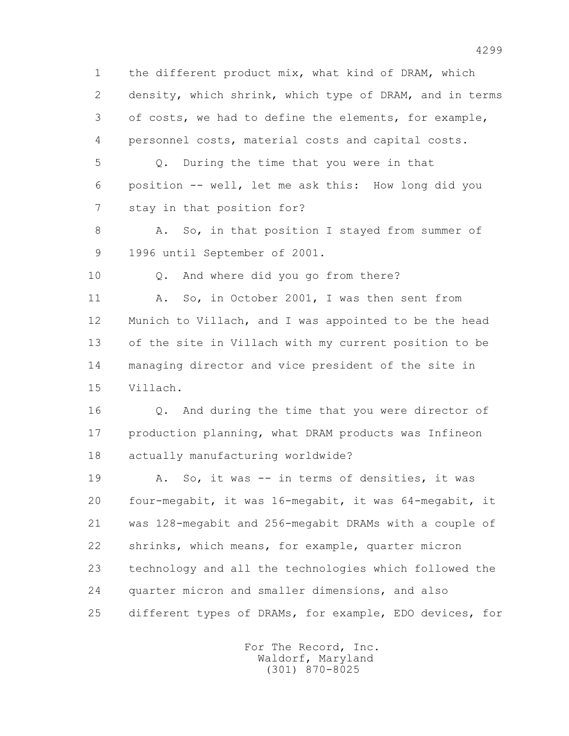1 the different product mix, what kind of DRAM, which 2 density, which shrink, which type of DRAM, and in terms 3 of costs, we had to define the elements, for example, 4 personnel costs, material costs and capital costs.

 5 Q. During the time that you were in that 6 position -- well, let me ask this: How long did you 7 stay in that position for?

8 A. So, in that position I stayed from summer of 9 1996 until September of 2001.

10 Q. And where did you go from there?

 11 A. So, in October 2001, I was then sent from 12 Munich to Villach, and I was appointed to be the head 13 of the site in Villach with my current position to be 14 managing director and vice president of the site in 15 Villach.

 16 Q. And during the time that you were director of 17 production planning, what DRAM products was Infineon 18 actually manufacturing worldwide?

 19 A. So, it was -- in terms of densities, it was 20 four-megabit, it was 16-megabit, it was 64-megabit, it 21 was 128-megabit and 256-megabit DRAMs with a couple of 22 shrinks, which means, for example, quarter micron 23 technology and all the technologies which followed the 24 quarter micron and smaller dimensions, and also 25 different types of DRAMs, for example, EDO devices, for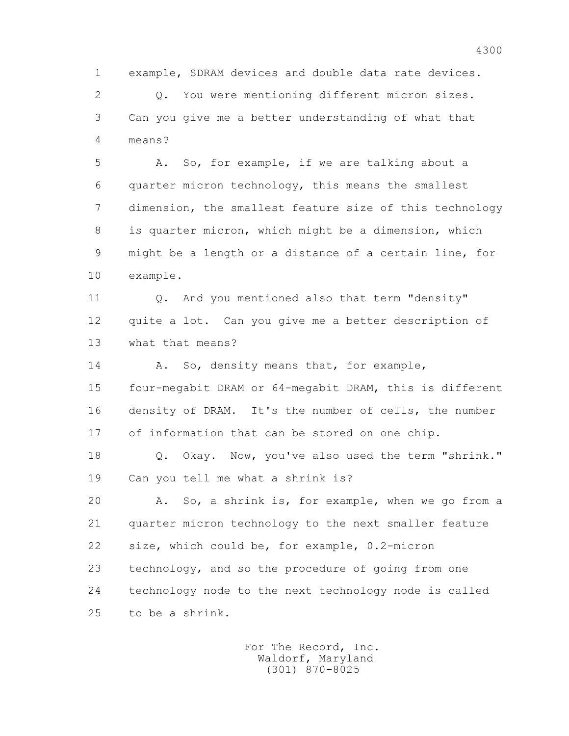1 example, SDRAM devices and double data rate devices. 2 Q. You were mentioning different micron sizes. 3 Can you give me a better understanding of what that 4 means? 5 A. So, for example, if we are talking about a 6 quarter micron technology, this means the smallest 7 dimension, the smallest feature size of this technology 8 is quarter micron, which might be a dimension, which 9 might be a length or a distance of a certain line, for 10 example. 11 O. And you mentioned also that term "density" 12 quite a lot. Can you give me a better description of 13 what that means? 14 A. So, density means that, for example, 15 four-megabit DRAM or 64-megabit DRAM, this is different 16 density of DRAM. It's the number of cells, the number 17 of information that can be stored on one chip. 18 Q. Okay. Now, you've also used the term "shrink." 19 Can you tell me what a shrink is? 20 A. So, a shrink is, for example, when we go from a 21 quarter micron technology to the next smaller feature 22 size, which could be, for example, 0.2-micron 23 technology, and so the procedure of going from one 24 technology node to the next technology node is called 25 to be a shrink.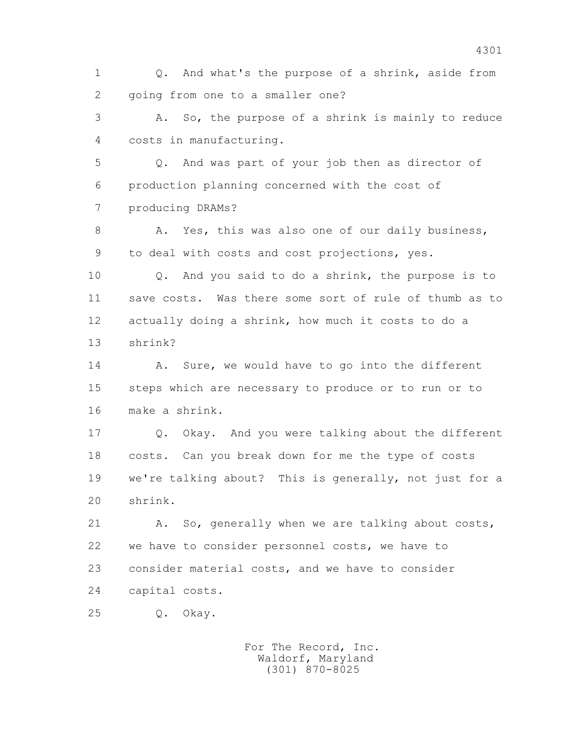1 Q. And what's the purpose of a shrink, aside from 2 going from one to a smaller one?

 3 A. So, the purpose of a shrink is mainly to reduce 4 costs in manufacturing.

 5 Q. And was part of your job then as director of 6 production planning concerned with the cost of 7 producing DRAMs?

8 A. Yes, this was also one of our daily business, 9 to deal with costs and cost projections, yes.

 10 Q. And you said to do a shrink, the purpose is to 11 save costs. Was there some sort of rule of thumb as to 12 actually doing a shrink, how much it costs to do a 13 shrink?

14 A. Sure, we would have to go into the different 15 steps which are necessary to produce or to run or to 16 make a shrink.

 17 Q. Okay. And you were talking about the different 18 costs. Can you break down for me the type of costs 19 we're talking about? This is generally, not just for a 20 shrink.

21 A. So, generally when we are talking about costs, 22 we have to consider personnel costs, we have to 23 consider material costs, and we have to consider 24 capital costs.

25 Q. Okay.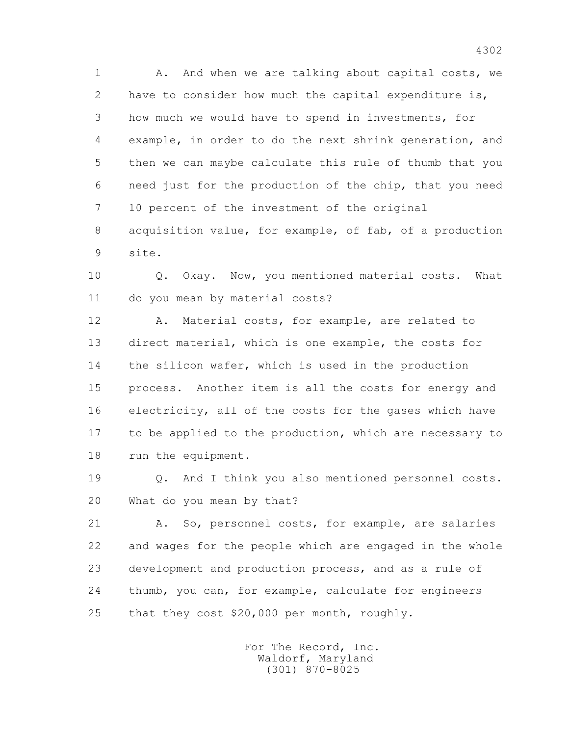1 A. And when we are talking about capital costs, we 2 have to consider how much the capital expenditure is, 3 how much we would have to spend in investments, for 4 example, in order to do the next shrink generation, and 5 then we can maybe calculate this rule of thumb that you 6 need just for the production of the chip, that you need 7 10 percent of the investment of the original 8 acquisition value, for example, of fab, of a production

 10 Q. Okay. Now, you mentioned material costs. What 11 do you mean by material costs?

9 site.

 12 A. Material costs, for example, are related to 13 direct material, which is one example, the costs for 14 the silicon wafer, which is used in the production 15 process. Another item is all the costs for energy and 16 electricity, all of the costs for the gases which have 17 to be applied to the production, which are necessary to 18 run the equipment.

 19 Q. And I think you also mentioned personnel costs. 20 What do you mean by that?

21 A. So, personnel costs, for example, are salaries 22 and wages for the people which are engaged in the whole 23 development and production process, and as a rule of 24 thumb, you can, for example, calculate for engineers 25 that they cost \$20,000 per month, roughly.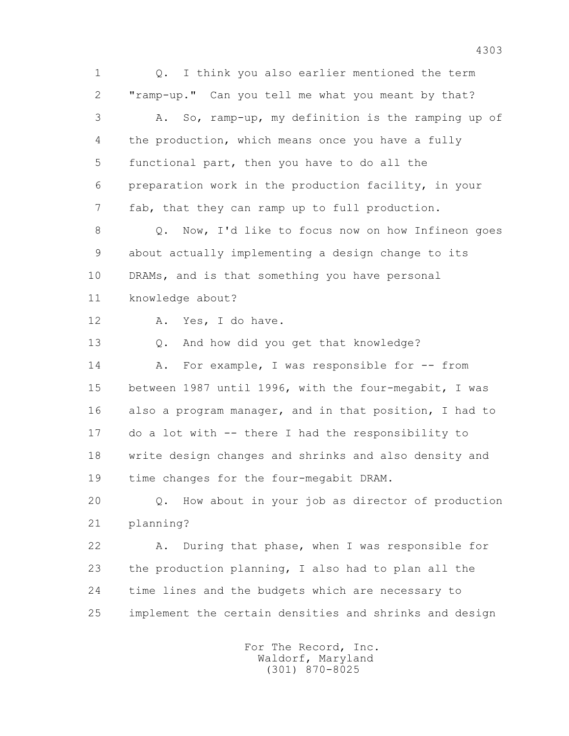1 Q. I think you also earlier mentioned the term 2 "ramp-up." Can you tell me what you meant by that? 3 A. So, ramp-up, my definition is the ramping up of 4 the production, which means once you have a fully 5 functional part, then you have to do all the 6 preparation work in the production facility, in your 7 fab, that they can ramp up to full production. 8 Q. Now, I'd like to focus now on how Infineon goes 9 about actually implementing a design change to its 10 DRAMs, and is that something you have personal 11 knowledge about? 12 A. Yes, I do have. 13 Q. And how did you get that knowledge? 14 A. For example, I was responsible for -- from 15 between 1987 until 1996, with the four-megabit, I was 16 also a program manager, and in that position, I had to 17 do a lot with -- there I had the responsibility to 18 write design changes and shrinks and also density and 19 time changes for the four-megabit DRAM. 20 Q. How about in your job as director of production 21 planning? 22 A. During that phase, when I was responsible for 23 the production planning, I also had to plan all the 24 time lines and the budgets which are necessary to 25 implement the certain densities and shrinks and design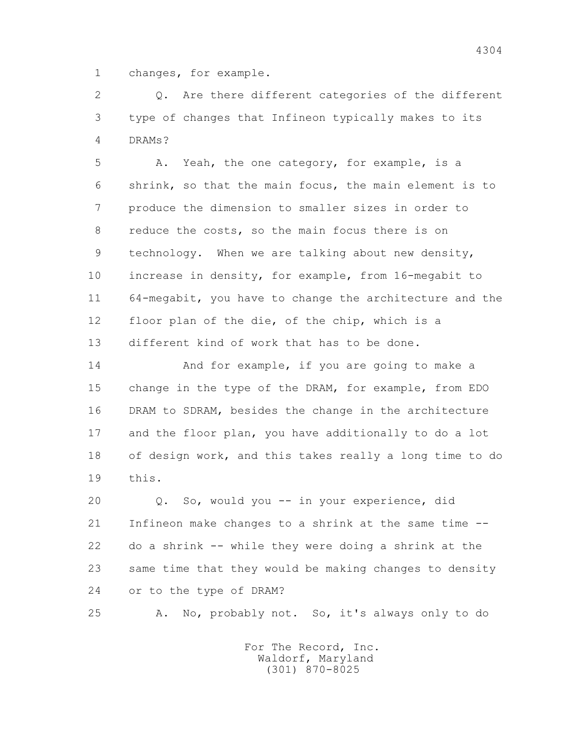1 changes, for example.

 2 Q. Are there different categories of the different 3 type of changes that Infineon typically makes to its 4 DRAMs?

 5 A. Yeah, the one category, for example, is a 6 shrink, so that the main focus, the main element is to 7 produce the dimension to smaller sizes in order to 8 reduce the costs, so the main focus there is on 9 technology. When we are talking about new density, 10 increase in density, for example, from 16-megabit to 11 64-megabit, you have to change the architecture and the 12 floor plan of the die, of the chip, which is a 13 different kind of work that has to be done.

 14 And for example, if you are going to make a 15 change in the type of the DRAM, for example, from EDO 16 DRAM to SDRAM, besides the change in the architecture 17 and the floor plan, you have additionally to do a lot 18 of design work, and this takes really a long time to do 19 this.

 20 Q. So, would you -- in your experience, did 21 Infineon make changes to a shrink at the same time -- 22 do a shrink -- while they were doing a shrink at the 23 same time that they would be making changes to density 24 or to the type of DRAM?

25 A. No, probably not. So, it's always only to do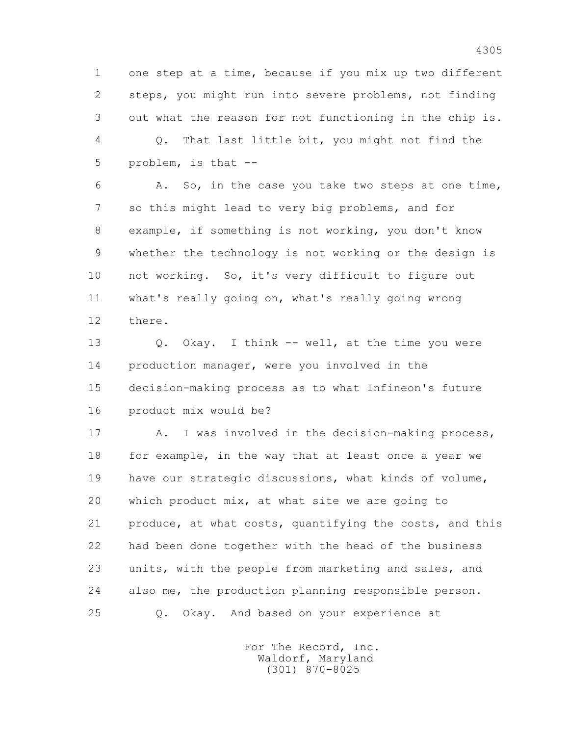1 one step at a time, because if you mix up two different 2 steps, you might run into severe problems, not finding 3 out what the reason for not functioning in the chip is.

 4 Q. That last little bit, you might not find the 5 problem, is that --

 6 A. So, in the case you take two steps at one time, 7 so this might lead to very big problems, and for 8 example, if something is not working, you don't know 9 whether the technology is not working or the design is 10 not working. So, it's very difficult to figure out 11 what's really going on, what's really going wrong 12 there.

 13 Q. Okay. I think -- well, at the time you were 14 production manager, were you involved in the 15 decision-making process as to what Infineon's future 16 product mix would be?

17 A. I was involved in the decision-making process, 18 for example, in the way that at least once a year we 19 have our strategic discussions, what kinds of volume, 20 which product mix, at what site we are going to 21 produce, at what costs, quantifying the costs, and this 22 had been done together with the head of the business 23 units, with the people from marketing and sales, and 24 also me, the production planning responsible person. 25 Q. Okay. And based on your experience at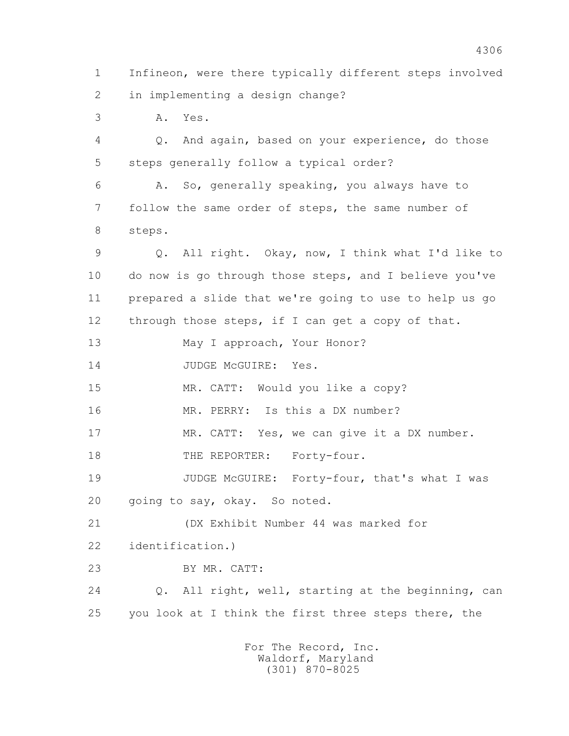1 Infineon, were there typically different steps involved 2 in implementing a design change? 3 A. Yes. 4 Q. And again, based on your experience, do those 5 steps generally follow a typical order? 6 A. So, generally speaking, you always have to 7 follow the same order of steps, the same number of 8 steps. 9 Q. All right. Okay, now, I think what I'd like to 10 do now is go through those steps, and I believe you've 11 prepared a slide that we're going to use to help us go 12 through those steps, if I can get a copy of that. 13 May I approach, Your Honor? 14 JUDGE McGUIRE: Yes. 15 MR. CATT: Would you like a copy? 16 MR. PERRY: Is this a DX number? 17 MR. CATT: Yes, we can give it a DX number. 18 THE REPORTER: Forty-four. 19 JUDGE McGUIRE: Forty-four, that's what I was 20 going to say, okay. So noted. 21 (DX Exhibit Number 44 was marked for 22 identification.) 23 BY MR. CATT: 24 Q. All right, well, starting at the beginning, can 25 you look at I think the first three steps there, the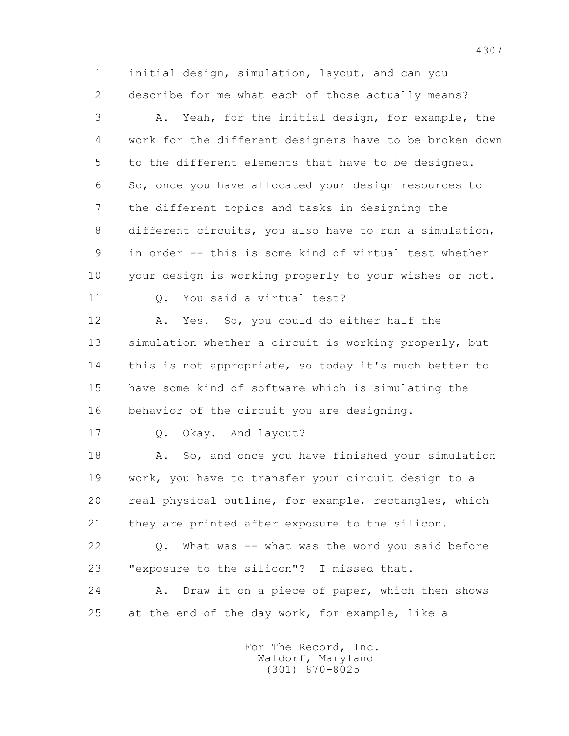1 initial design, simulation, layout, and can you 2 describe for me what each of those actually means?

 3 A. Yeah, for the initial design, for example, the 4 work for the different designers have to be broken down 5 to the different elements that have to be designed. 6 So, once you have allocated your design resources to 7 the different topics and tasks in designing the 8 different circuits, you also have to run a simulation, 9 in order -- this is some kind of virtual test whether 10 your design is working properly to your wishes or not.

11 Q. You said a virtual test?

 12 A. Yes. So, you could do either half the 13 simulation whether a circuit is working properly, but 14 this is not appropriate, so today it's much better to 15 have some kind of software which is simulating the 16 behavior of the circuit you are designing.

17 Q. Okay. And layout?

 18 A. So, and once you have finished your simulation 19 work, you have to transfer your circuit design to a 20 real physical outline, for example, rectangles, which 21 they are printed after exposure to the silicon.

 22 Q. What was -- what was the word you said before 23 "exposure to the silicon"? I missed that.

 24 A. Draw it on a piece of paper, which then shows 25 at the end of the day work, for example, like a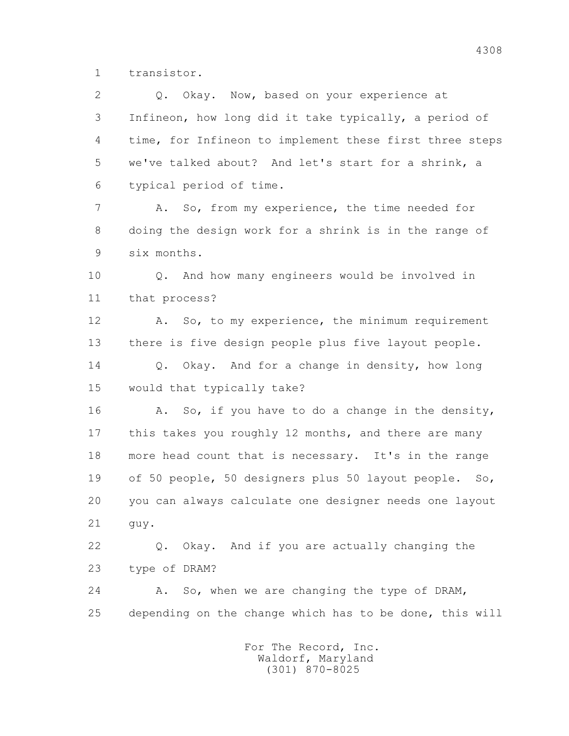1 transistor.

2 0. Okay. Now, based on your experience at 3 Infineon, how long did it take typically, a period of 4 time, for Infineon to implement these first three steps 5 we've talked about? And let's start for a shrink, a 6 typical period of time. 7 A. So, from my experience, the time needed for 8 doing the design work for a shrink is in the range of 9 six months. 10 Q. And how many engineers would be involved in 11 that process? 12 A. So, to my experience, the minimum requirement 13 there is five design people plus five layout people. 14 0. Okay. And for a change in density, how long 15 would that typically take? 16 A. So, if you have to do a change in the density, 17 this takes you roughly 12 months, and there are many 18 more head count that is necessary. It's in the range 19 of 50 people, 50 designers plus 50 layout people. So, 20 you can always calculate one designer needs one layout 21 guy. 22 Q. Okay. And if you are actually changing the 23 type of DRAM? 24 A. So, when we are changing the type of DRAM, 25 depending on the change which has to be done, this will For The Record, Inc. Waldorf, Maryland

(301) 870-8025

4308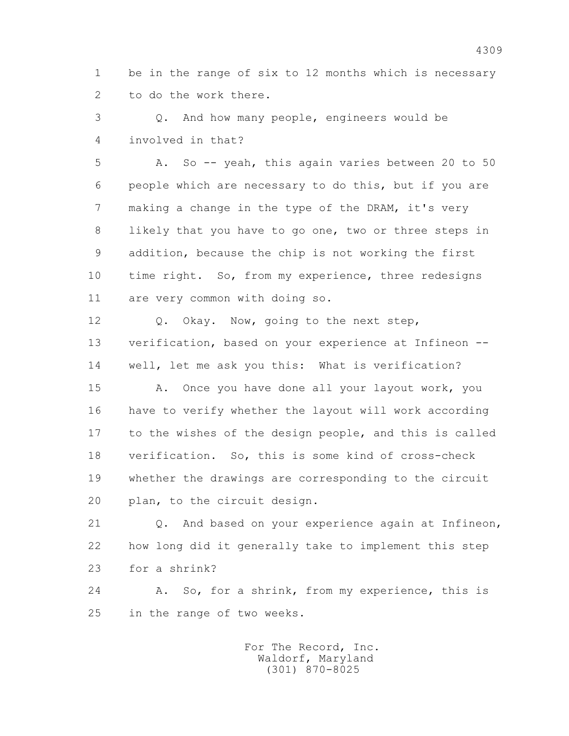1 be in the range of six to 12 months which is necessary 2 to do the work there.

 3 Q. And how many people, engineers would be 4 involved in that?

 5 A. So -- yeah, this again varies between 20 to 50 6 people which are necessary to do this, but if you are 7 making a change in the type of the DRAM, it's very 8 likely that you have to go one, two or three steps in 9 addition, because the chip is not working the first 10 time right. So, from my experience, three redesigns 11 are very common with doing so.

 12 Q. Okay. Now, going to the next step, 13 verification, based on your experience at Infineon -- 14 well, let me ask you this: What is verification?

 15 A. Once you have done all your layout work, you 16 have to verify whether the layout will work according 17 to the wishes of the design people, and this is called 18 verification. So, this is some kind of cross-check 19 whether the drawings are corresponding to the circuit 20 plan, to the circuit design.

 21 Q. And based on your experience again at Infineon, 22 how long did it generally take to implement this step 23 for a shrink?

 24 A. So, for a shrink, from my experience, this is 25 in the range of two weeks.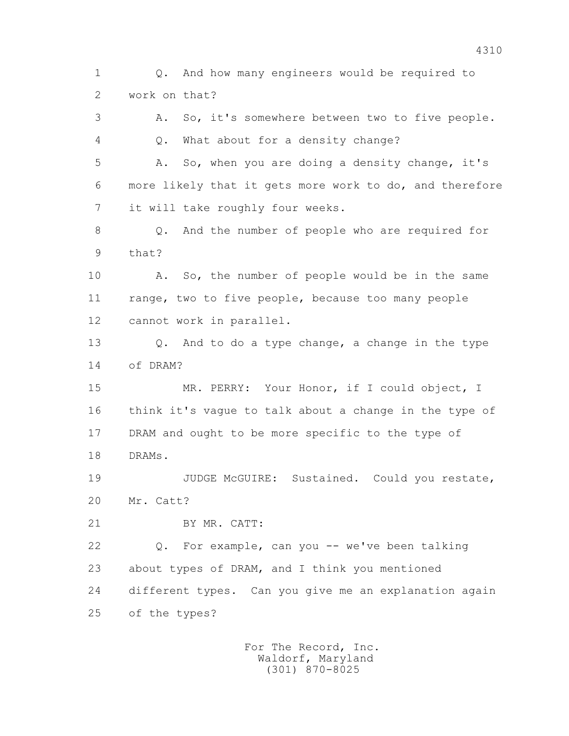1 Q. And how many engineers would be required to 2 work on that? 3 A. So, it's somewhere between two to five people. 4 Q. What about for a density change? 5 A. So, when you are doing a density change, it's 6 more likely that it gets more work to do, and therefore 7 it will take roughly four weeks. 8 Q. And the number of people who are required for 9 that? 10 A. So, the number of people would be in the same 11 range, two to five people, because too many people 12 cannot work in parallel. 13 Q. And to do a type change, a change in the type 14 of DRAM? 15 MR. PERRY: Your Honor, if I could object, I 16 think it's vague to talk about a change in the type of 17 DRAM and ought to be more specific to the type of 18 DRAMs. 19 JUDGE McGUIRE: Sustained. Could you restate, 20 Mr. Catt? 21 BY MR. CATT: 22 Q. For example, can you -- we've been talking 23 about types of DRAM, and I think you mentioned 24 different types. Can you give me an explanation again 25 of the types?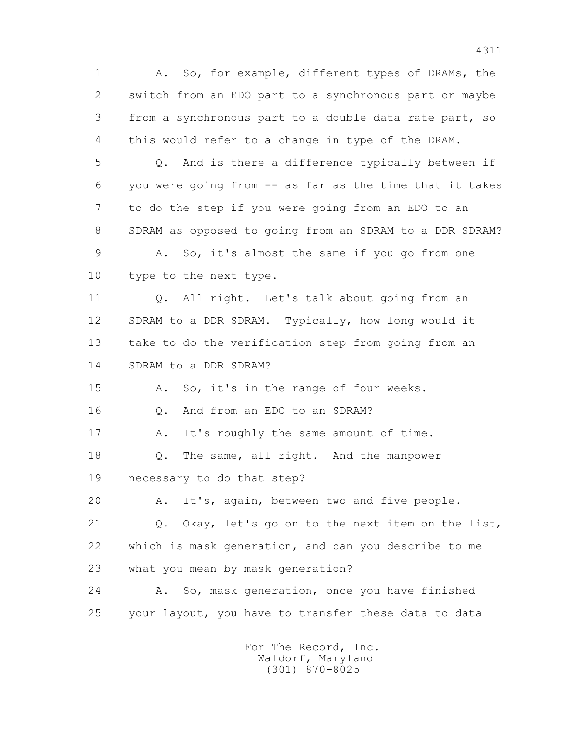1 A. So, for example, different types of DRAMs, the 2 switch from an EDO part to a synchronous part or maybe 3 from a synchronous part to a double data rate part, so 4 this would refer to a change in type of the DRAM. 5 Q. And is there a difference typically between if 6 you were going from -- as far as the time that it takes 7 to do the step if you were going from an EDO to an 8 SDRAM as opposed to going from an SDRAM to a DDR SDRAM? 9 A. So, it's almost the same if you go from one 10 type to the next type. 11 0. All right. Let's talk about going from an 12 SDRAM to a DDR SDRAM. Typically, how long would it 13 take to do the verification step from going from an 14 SDRAM to a DDR SDRAM? 15 A. So, it's in the range of four weeks. 16 Q. And from an EDO to an SDRAM? 17 A. It's roughly the same amount of time. 18 Q. The same, all right. And the manpower 19 necessary to do that step? 20 A. It's, again, between two and five people. 21 Q. Okay, let's go on to the next item on the list, 22 which is mask generation, and can you describe to me 23 what you mean by mask generation? 24 A. So, mask generation, once you have finished 25 your layout, you have to transfer these data to data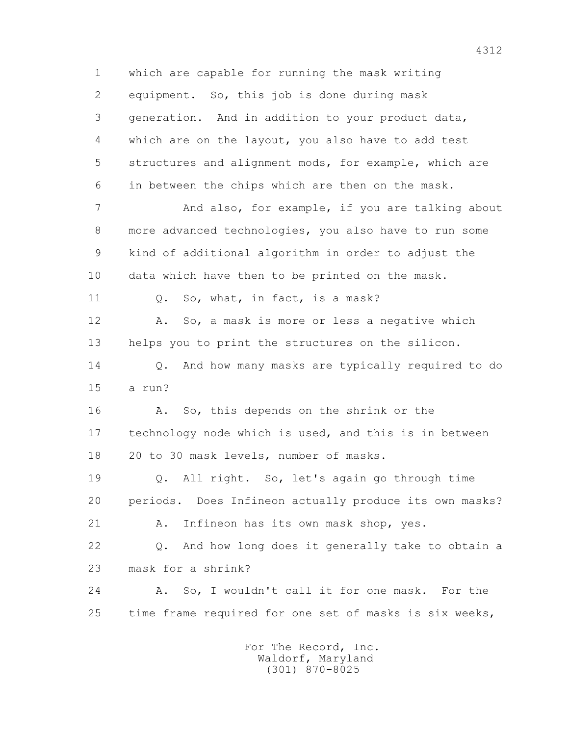1 which are capable for running the mask writing 2 equipment. So, this job is done during mask 3 generation. And in addition to your product data, 4 which are on the layout, you also have to add test 5 structures and alignment mods, for example, which are 6 in between the chips which are then on the mask. 7 And also, for example, if you are talking about 8 more advanced technologies, you also have to run some 9 kind of additional algorithm in order to adjust the 10 data which have then to be printed on the mask. 11 0. So, what, in fact, is a mask? 12 A. So, a mask is more or less a negative which 13 helps you to print the structures on the silicon. 14 Q. And how many masks are typically required to do 15 a run? 16 A. So, this depends on the shrink or the 17 technology node which is used, and this is in between 18 20 to 30 mask levels, number of masks. 19 Q. All right. So, let's again go through time 20 periods. Does Infineon actually produce its own masks? 21 A. Infineon has its own mask shop, yes. 22 Q. And how long does it generally take to obtain a 23 mask for a shrink? 24 A. So, I wouldn't call it for one mask. For the 25 time frame required for one set of masks is six weeks,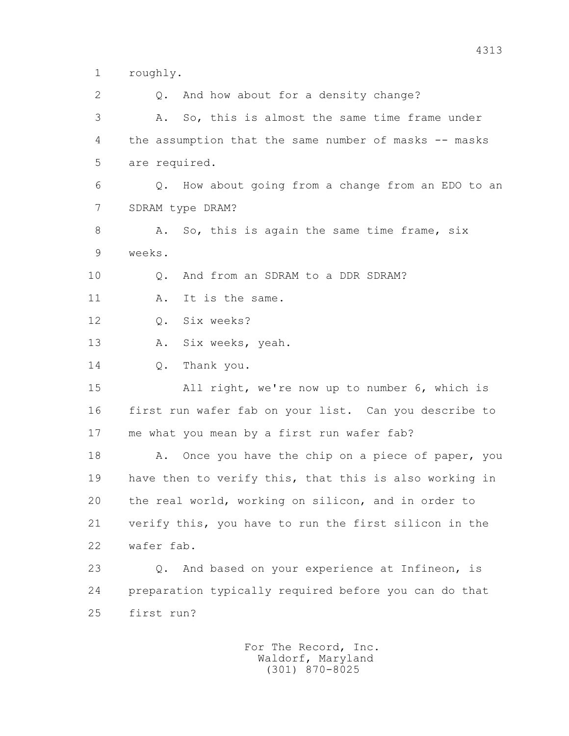1 roughly.

2 0. And how about for a density change? 3 A. So, this is almost the same time frame under 4 the assumption that the same number of masks -- masks 5 are required. 6 Q. How about going from a change from an EDO to an 7 SDRAM type DRAM? 8 A. So, this is again the same time frame, six 9 weeks. 10 Q. And from an SDRAM to a DDR SDRAM? 11 A. It is the same. 12 Q. Six weeks? 13 A. Six weeks, yeah. 14 O. Thank you. 15 All right, we're now up to number 6, which is 16 first run wafer fab on your list. Can you describe to 17 me what you mean by a first run wafer fab? 18 A. Once you have the chip on a piece of paper, you 19 have then to verify this, that this is also working in 20 the real world, working on silicon, and in order to 21 verify this, you have to run the first silicon in the 22 wafer fab. 23 Q. And based on your experience at Infineon, is 24 preparation typically required before you can do that 25 first run?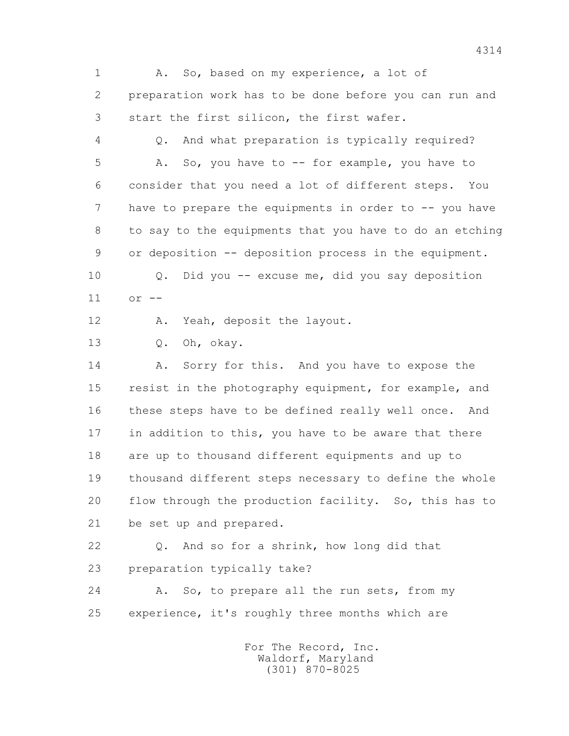1 A. So, based on my experience, a lot of 2 preparation work has to be done before you can run and 3 start the first silicon, the first wafer. 4 Q. And what preparation is typically required? 5 A. So, you have to -- for example, you have to 6 consider that you need a lot of different steps. You 7 have to prepare the equipments in order to -- you have 8 to say to the equipments that you have to do an etching 9 or deposition -- deposition process in the equipment. 10 Q. Did you -- excuse me, did you say deposition 11 or -- 12 A. Yeah, deposit the layout. 13 Q. Oh, okay. 14 A. Sorry for this. And you have to expose the 15 resist in the photography equipment, for example, and 16 these steps have to be defined really well once. And 17 in addition to this, you have to be aware that there 18 are up to thousand different equipments and up to 19 thousand different steps necessary to define the whole 20 flow through the production facility. So, this has to 21 be set up and prepared. 22 Q. And so for a shrink, how long did that 23 preparation typically take? 24 A. So, to prepare all the run sets, from my 25 experience, it's roughly three months which are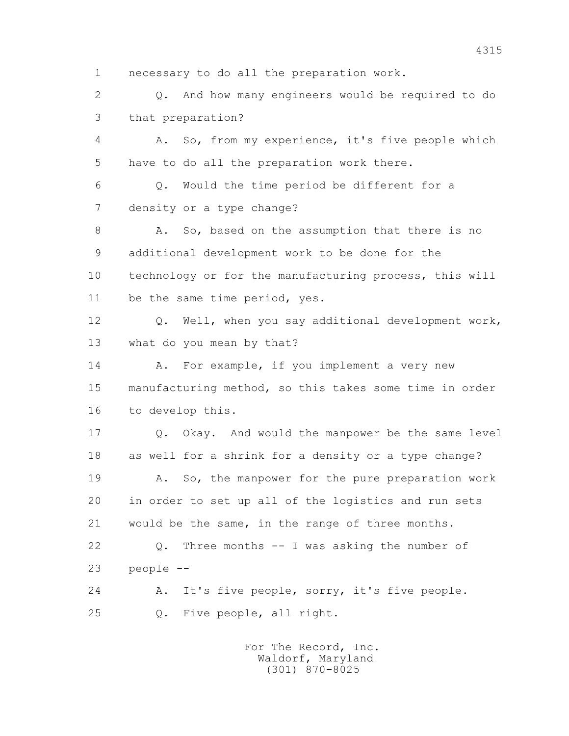1 necessary to do all the preparation work.

 2 Q. And how many engineers would be required to do 3 that preparation?

 4 A. So, from my experience, it's five people which 5 have to do all the preparation work there.

 6 Q. Would the time period be different for a 7 density or a type change?

8 A. So, based on the assumption that there is no 9 additional development work to be done for the 10 technology or for the manufacturing process, this will 11 be the same time period, yes.

 12 Q. Well, when you say additional development work, 13 what do you mean by that?

14 A. For example, if you implement a very new 15 manufacturing method, so this takes some time in order 16 to develop this.

 17 Q. Okay. And would the manpower be the same level 18 as well for a shrink for a density or a type change?

 19 A. So, the manpower for the pure preparation work 20 in order to set up all of the logistics and run sets 21 would be the same, in the range of three months.

 22 Q. Three months -- I was asking the number of 23 people --

 24 A. It's five people, sorry, it's five people. 25 Q. Five people, all right.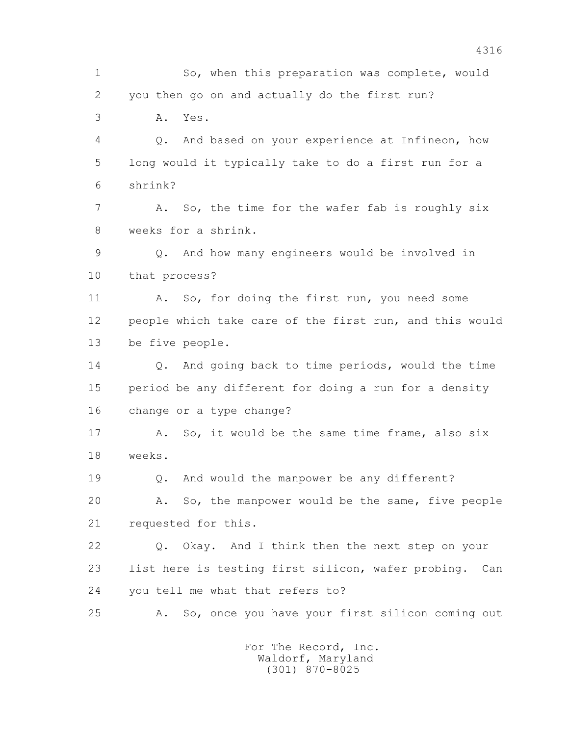1 So, when this preparation was complete, would 2 you then go on and actually do the first run? 3 A. Yes. 4 Q. And based on your experience at Infineon, how 5 long would it typically take to do a first run for a 6 shrink? 7 A. So, the time for the wafer fab is roughly six 8 weeks for a shrink. 9 Q. And how many engineers would be involved in 10 that process? 11 A. So, for doing the first run, you need some 12 people which take care of the first run, and this would 13 be five people. 14 0. And going back to time periods, would the time 15 period be any different for doing a run for a density 16 change or a type change? 17 A. So, it would be the same time frame, also six 18 weeks. 19 Q. And would the manpower be any different? 20 A. So, the manpower would be the same, five people 21 requested for this. 22 Q. Okay. And I think then the next step on your 23 list here is testing first silicon, wafer probing. Can 24 you tell me what that refers to? 25 A. So, once you have your first silicon coming out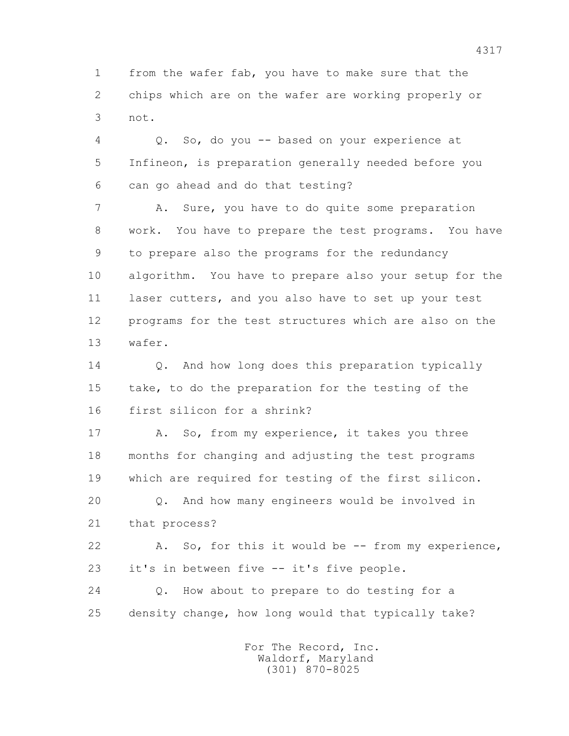1 from the wafer fab, you have to make sure that the 2 chips which are on the wafer are working properly or 3 not.

 4 Q. So, do you -- based on your experience at 5 Infineon, is preparation generally needed before you 6 can go ahead and do that testing?

 7 A. Sure, you have to do quite some preparation 8 work. You have to prepare the test programs. You have 9 to prepare also the programs for the redundancy 10 algorithm. You have to prepare also your setup for the 11 laser cutters, and you also have to set up your test 12 programs for the test structures which are also on the 13 wafer.

14 0. And how long does this preparation typically 15 take, to do the preparation for the testing of the 16 first silicon for a shrink?

17 A. So, from my experience, it takes you three 18 months for changing and adjusting the test programs 19 which are required for testing of the first silicon. 20 Q. And how many engineers would be involved in 21 that process? 22 A. So, for this it would be -- from my experience,

23 it's in between five -- it's five people.

 24 Q. How about to prepare to do testing for a 25 density change, how long would that typically take?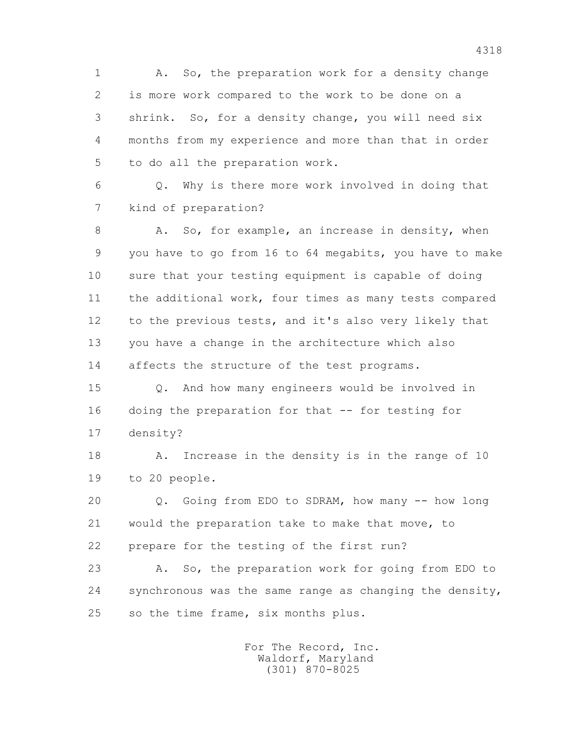1 A. So, the preparation work for a density change 2 is more work compared to the work to be done on a 3 shrink. So, for a density change, you will need six 4 months from my experience and more than that in order 5 to do all the preparation work.

 6 Q. Why is there more work involved in doing that 7 kind of preparation?

8 A. So, for example, an increase in density, when 9 you have to go from 16 to 64 megabits, you have to make 10 sure that your testing equipment is capable of doing 11 the additional work, four times as many tests compared 12 to the previous tests, and it's also very likely that 13 you have a change in the architecture which also 14 affects the structure of the test programs.

 15 Q. And how many engineers would be involved in 16 doing the preparation for that -- for testing for 17 density?

 18 A. Increase in the density is in the range of 10 19 to 20 people.

 20 Q. Going from EDO to SDRAM, how many -- how long 21 would the preparation take to make that move, to 22 prepare for the testing of the first run?

 23 A. So, the preparation work for going from EDO to 24 synchronous was the same range as changing the density, 25 so the time frame, six months plus.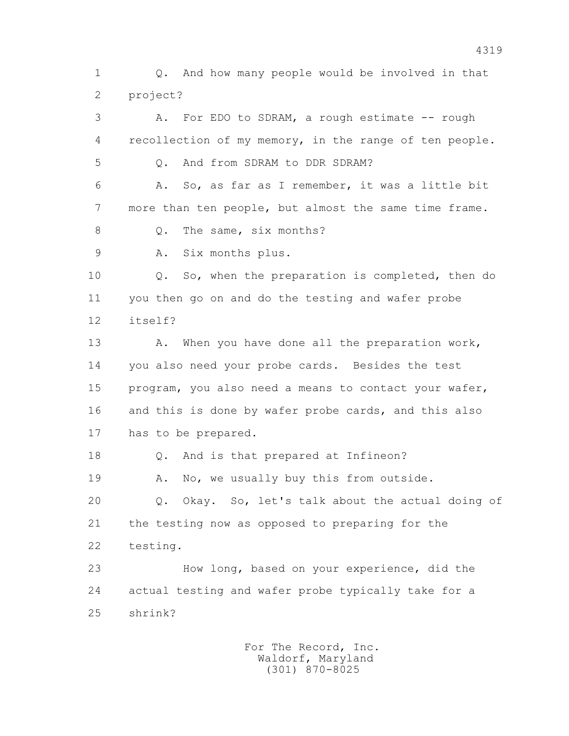1 Q. And how many people would be involved in that 2 project?

 3 A. For EDO to SDRAM, a rough estimate -- rough 4 recollection of my memory, in the range of ten people. 5 Q. And from SDRAM to DDR SDRAM? 6 A. So, as far as I remember, it was a little bit 7 more than ten people, but almost the same time frame. 8 0. The same, six months? 9 A. Six months plus. 10 Q. So, when the preparation is completed, then do 11 you then go on and do the testing and wafer probe 12 itself? 13 A. When you have done all the preparation work, 14 you also need your probe cards. Besides the test 15 program, you also need a means to contact your wafer, 16 and this is done by wafer probe cards, and this also 17 has to be prepared. 18 Q. And is that prepared at Infineon? 19 A. No, we usually buy this from outside. 20 Q. Okay. So, let's talk about the actual doing of 21 the testing now as opposed to preparing for the 22 testing. 23 How long, based on your experience, did the

 24 actual testing and wafer probe typically take for a 25 shrink?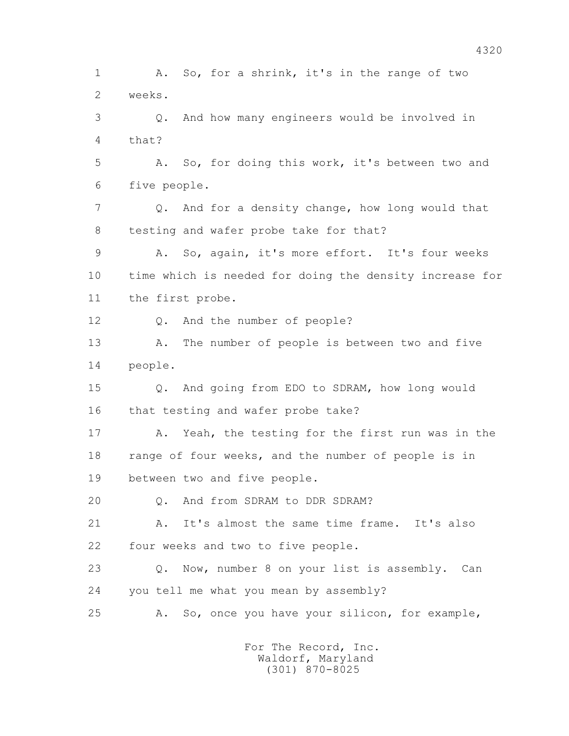1 A. So, for a shrink, it's in the range of two 2 weeks. 3 Q. And how many engineers would be involved in 4 that? 5 A. So, for doing this work, it's between two and 6 five people. 7 Q. And for a density change, how long would that 8 testing and wafer probe take for that? 9 A. So, again, it's more effort. It's four weeks 10 time which is needed for doing the density increase for 11 the first probe. 12 Q. And the number of people? 13 A. The number of people is between two and five 14 people. 15 Q. And going from EDO to SDRAM, how long would 16 that testing and wafer probe take? 17 A. Yeah, the testing for the first run was in the 18 range of four weeks, and the number of people is in 19 between two and five people. 20 0. And from SDRAM to DDR SDRAM? 21 A. It's almost the same time frame. It's also 22 four weeks and two to five people. 23 Q. Now, number 8 on your list is assembly. Can 24 you tell me what you mean by assembly? 25 A. So, once you have your silicon, for example,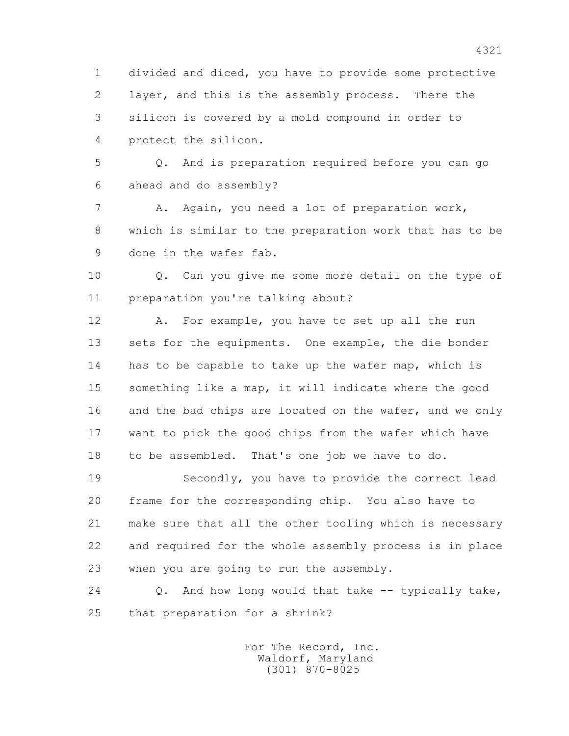1 divided and diced, you have to provide some protective 2 layer, and this is the assembly process. There the 3 silicon is covered by a mold compound in order to 4 protect the silicon.

 5 Q. And is preparation required before you can go 6 ahead and do assembly?

 7 A. Again, you need a lot of preparation work, 8 which is similar to the preparation work that has to be 9 done in the wafer fab.

 10 Q. Can you give me some more detail on the type of 11 preparation you're talking about?

 12 A. For example, you have to set up all the run 13 sets for the equipments. One example, the die bonder 14 has to be capable to take up the wafer map, which is 15 something like a map, it will indicate where the good 16 and the bad chips are located on the wafer, and we only 17 want to pick the good chips from the wafer which have 18 to be assembled. That's one job we have to do.

 19 Secondly, you have to provide the correct lead 20 frame for the corresponding chip. You also have to 21 make sure that all the other tooling which is necessary 22 and required for the whole assembly process is in place 23 when you are going to run the assembly.

 24 Q. And how long would that take -- typically take, 25 that preparation for a shrink?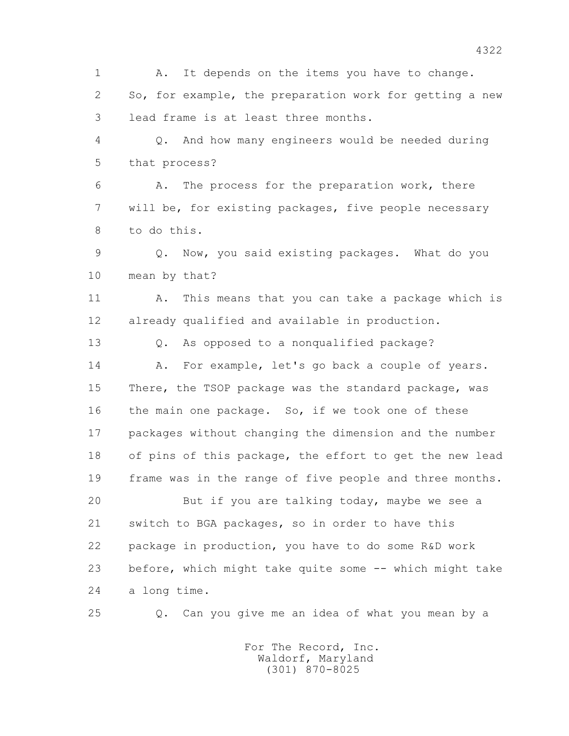1 A. It depends on the items you have to change. 2 So, for example, the preparation work for getting a new 3 lead frame is at least three months. 4 Q. And how many engineers would be needed during 5 that process? 6 A. The process for the preparation work, there 7 will be, for existing packages, five people necessary 8 to do this. 9 Q. Now, you said existing packages. What do you 10 mean by that? 11 A. This means that you can take a package which is 12 already qualified and available in production. 13 Q. As opposed to a nonqualified package? 14 A. For example, let's go back a couple of years. 15 There, the TSOP package was the standard package, was 16 the main one package. So, if we took one of these 17 packages without changing the dimension and the number 18 of pins of this package, the effort to get the new lead 19 frame was in the range of five people and three months. 20 But if you are talking today, maybe we see a 21 switch to BGA packages, so in order to have this 22 package in production, you have to do some R&D work 23 before, which might take quite some -- which might take 24 a long time. 25 Q. Can you give me an idea of what you mean by a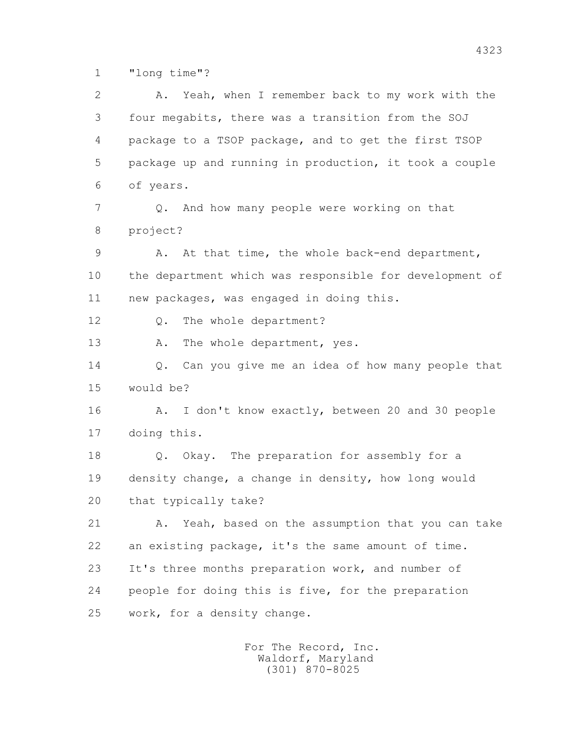1 "long time"?

 2 A. Yeah, when I remember back to my work with the 3 four megabits, there was a transition from the SOJ 4 package to a TSOP package, and to get the first TSOP 5 package up and running in production, it took a couple 6 of years. 7 Q. And how many people were working on that 8 project? 9 A. At that time, the whole back-end department, 10 the department which was responsible for development of 11 new packages, was engaged in doing this. 12 Q. The whole department? 13 A. The whole department, yes. 14 Q. Can you give me an idea of how many people that 15 would be? 16 A. I don't know exactly, between 20 and 30 people 17 doing this. 18 Q. Okay. The preparation for assembly for a 19 density change, a change in density, how long would 20 that typically take? 21 A. Yeah, based on the assumption that you can take 22 an existing package, it's the same amount of time. 23 It's three months preparation work, and number of 24 people for doing this is five, for the preparation 25 work, for a density change.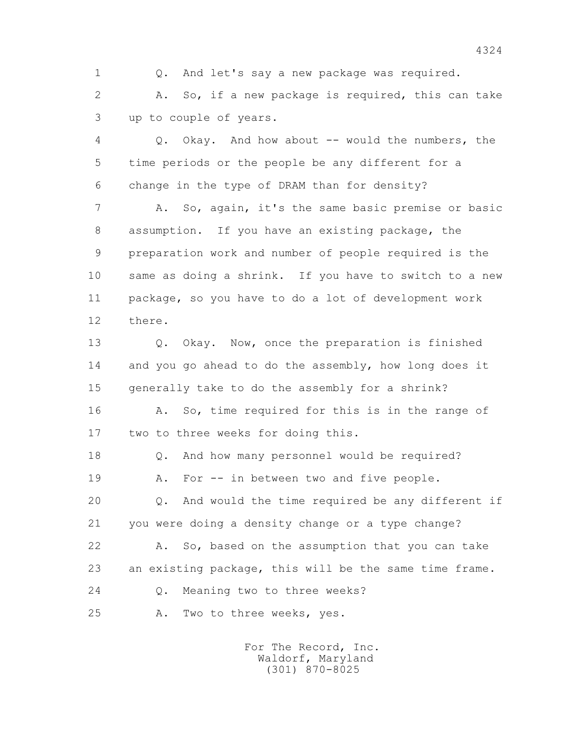1 Q. And let's say a new package was required. 2 A. So, if a new package is required, this can take

3 up to couple of years.

 4 Q. Okay. And how about -- would the numbers, the 5 time periods or the people be any different for a 6 change in the type of DRAM than for density?

 7 A. So, again, it's the same basic premise or basic 8 assumption. If you have an existing package, the 9 preparation work and number of people required is the 10 same as doing a shrink. If you have to switch to a new 11 package, so you have to do a lot of development work 12 there.

 13 Q. Okay. Now, once the preparation is finished 14 and you go ahead to do the assembly, how long does it 15 generally take to do the assembly for a shrink? 16 A. So, time required for this is in the range of 17 two to three weeks for doing this.

 18 Q. And how many personnel would be required? 19 A. For -- in between two and five people. 20 Q. And would the time required be any different if 21 you were doing a density change or a type change? 22 A. So, based on the assumption that you can take 23 an existing package, this will be the same time frame. 24 Q. Meaning two to three weeks?

25 A. Two to three weeks, yes.

 For The Record, Inc. Waldorf, Maryland (301) 870-8025

4324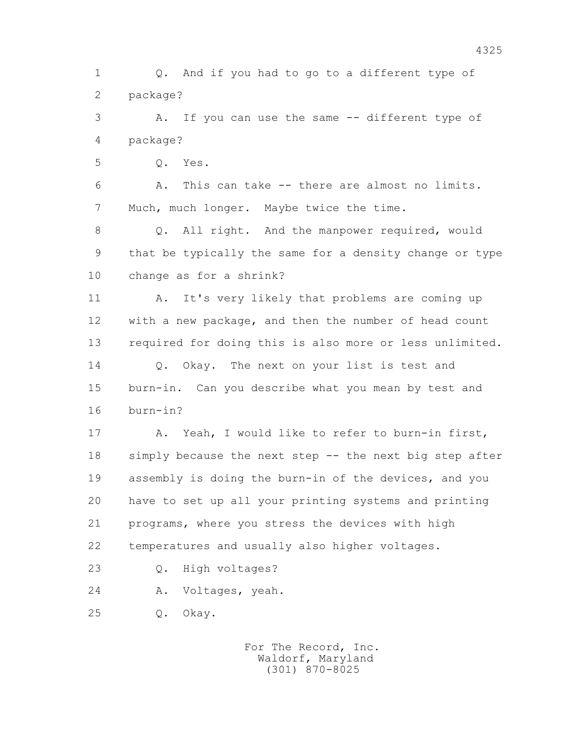1 Q. And if you had to go to a different type of 2 package?

 3 A. If you can use the same -- different type of 4 package?

5 Q. Yes.

 6 A. This can take -- there are almost no limits. 7 Much, much longer. Maybe twice the time.

8 Q. All right. And the manpower required, would 9 that be typically the same for a density change or type 10 change as for a shrink?

11 A. It's very likely that problems are coming up 12 with a new package, and then the number of head count 13 required for doing this is also more or less unlimited. 14 0. Okay. The next on your list is test and 15 burn-in. Can you describe what you mean by test and 16 burn-in?

 17 A. Yeah, I would like to refer to burn-in first, 18 simply because the next step -- the next big step after 19 assembly is doing the burn-in of the devices, and you 20 have to set up all your printing systems and printing 21 programs, where you stress the devices with high 22 temperatures and usually also higher voltages.

- 23 Q. High voltages?
- 24 A. Voltages, yeah.

25 Q. Okay.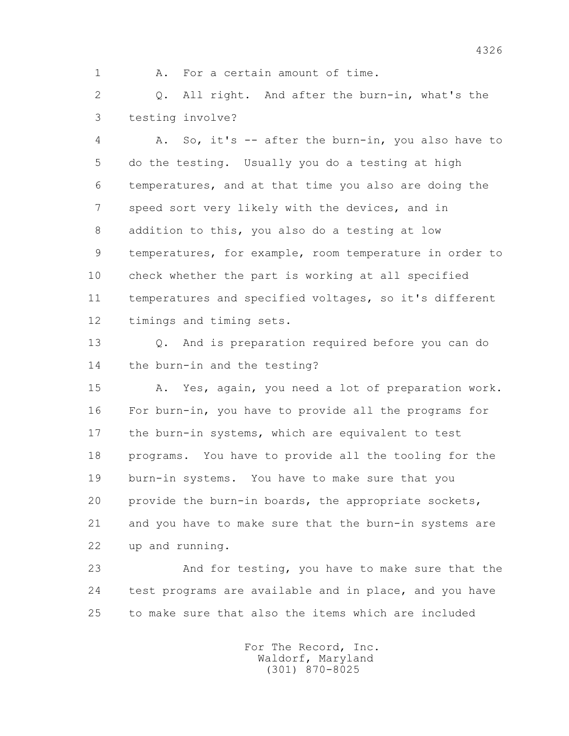1 A. For a certain amount of time.

 2 Q. All right. And after the burn-in, what's the 3 testing involve?

 4 A. So, it's -- after the burn-in, you also have to 5 do the testing. Usually you do a testing at high 6 temperatures, and at that time you also are doing the 7 speed sort very likely with the devices, and in 8 addition to this, you also do a testing at low 9 temperatures, for example, room temperature in order to 10 check whether the part is working at all specified 11 temperatures and specified voltages, so it's different 12 timings and timing sets.

 13 Q. And is preparation required before you can do 14 the burn-in and the testing?

 15 A. Yes, again, you need a lot of preparation work. 16 For burn-in, you have to provide all the programs for 17 the burn-in systems, which are equivalent to test 18 programs. You have to provide all the tooling for the 19 burn-in systems. You have to make sure that you 20 provide the burn-in boards, the appropriate sockets, 21 and you have to make sure that the burn-in systems are 22 up and running.

 23 And for testing, you have to make sure that the 24 test programs are available and in place, and you have 25 to make sure that also the items which are included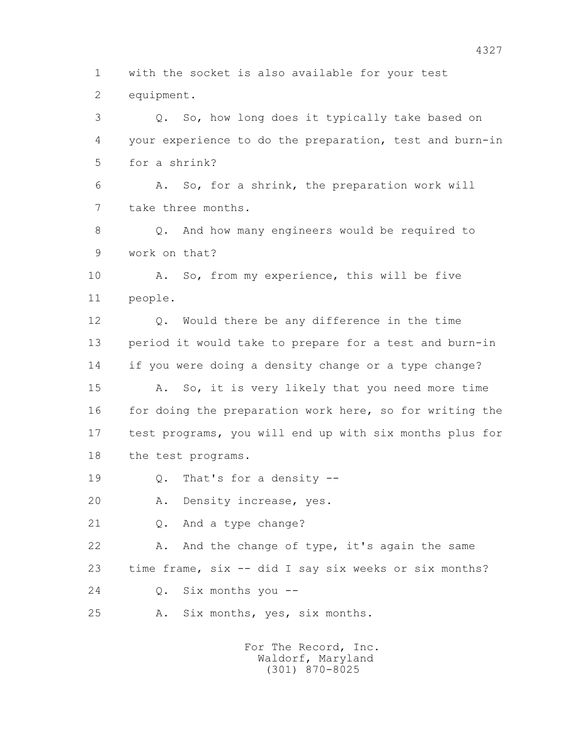1 with the socket is also available for your test 2 equipment.

 3 Q. So, how long does it typically take based on 4 your experience to do the preparation, test and burn-in 5 for a shrink? 6 A. So, for a shrink, the preparation work will 7 take three months. 8 Q. And how many engineers would be required to 9 work on that? 10 A. So, from my experience, this will be five 11 people. 12 Q. Would there be any difference in the time

 13 period it would take to prepare for a test and burn-in 14 if you were doing a density change or a type change?

 15 A. So, it is very likely that you need more time 16 for doing the preparation work here, so for writing the 17 test programs, you will end up with six months plus for 18 the test programs.

19 Q. That's for a density --

20 A. Density increase, yes.

21 Q. And a type change?

22 A. And the change of type, it's again the same 23 time frame, six -- did I say six weeks or six months?

24 Q. Six months you --

25 A. Six months, yes, six months.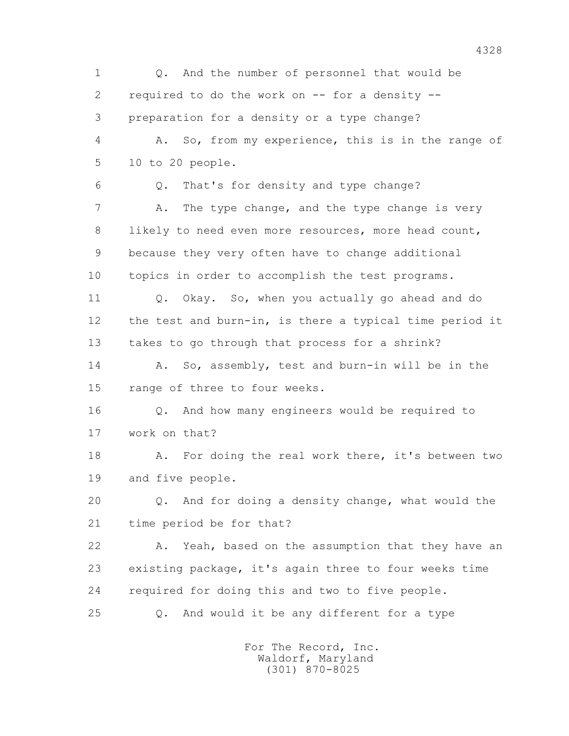1 Q. And the number of personnel that would be 2 required to do the work on -- for a density -- 3 preparation for a density or a type change? 4 A. So, from my experience, this is in the range of 5 10 to 20 people. 6 Q. That's for density and type change? 7 A. The type change, and the type change is very 8 likely to need even more resources, more head count, 9 because they very often have to change additional 10 topics in order to accomplish the test programs. 11 Q. Okay. So, when you actually go ahead and do 12 the test and burn-in, is there a typical time period it 13 takes to go through that process for a shrink? 14 A. So, assembly, test and burn-in will be in the 15 range of three to four weeks. 16 Q. And how many engineers would be required to 17 work on that? 18 A. For doing the real work there, it's between two 19 and five people. 20 Q. And for doing a density change, what would the 21 time period be for that? 22 A. Yeah, based on the assumption that they have an 23 existing package, it's again three to four weeks time 24 required for doing this and two to five people. 25 Q. And would it be any different for a type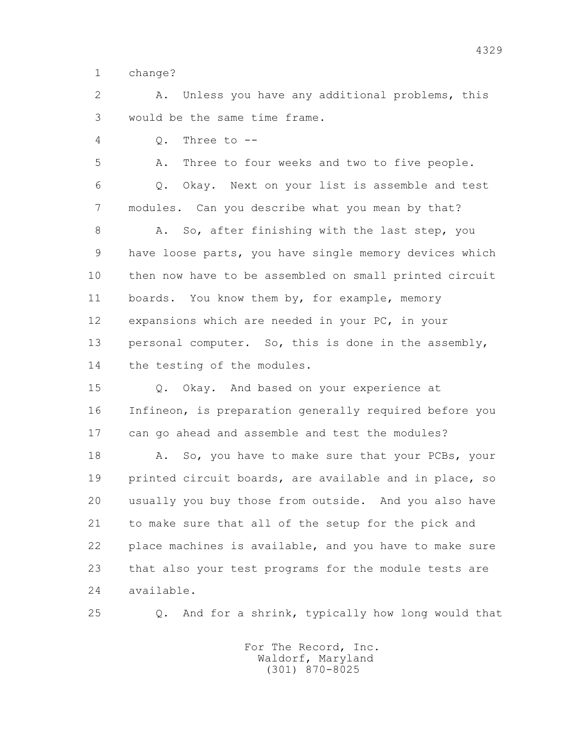1 change?

 2 A. Unless you have any additional problems, this 3 would be the same time frame.

 $4 \qquad \qquad$  0. Three to  $-$ 

5 A. Three to four weeks and two to five people.

 6 Q. Okay. Next on your list is assemble and test 7 modules. Can you describe what you mean by that?

8 A. So, after finishing with the last step, you 9 have loose parts, you have single memory devices which 10 then now have to be assembled on small printed circuit 11 boards. You know them by, for example, memory 12 expansions which are needed in your PC, in your 13 personal computer. So, this is done in the assembly, 14 the testing of the modules.

 15 Q. Okay. And based on your experience at 16 Infineon, is preparation generally required before you 17 can go ahead and assemble and test the modules?

18 A. So, you have to make sure that your PCBs, your 19 printed circuit boards, are available and in place, so 20 usually you buy those from outside. And you also have 21 to make sure that all of the setup for the pick and 22 place machines is available, and you have to make sure 23 that also your test programs for the module tests are 24 available.

25 Q. And for a shrink, typically how long would that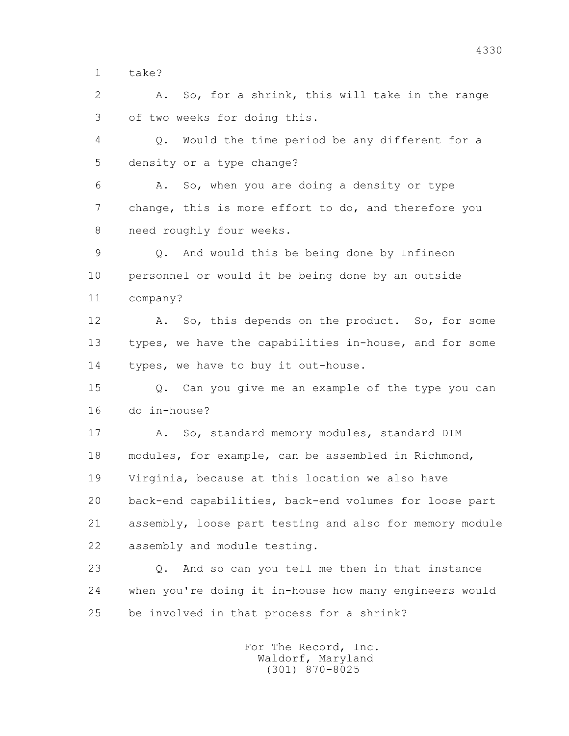1 take?

 2 A. So, for a shrink, this will take in the range 3 of two weeks for doing this.

 4 Q. Would the time period be any different for a 5 density or a type change?

 6 A. So, when you are doing a density or type 7 change, this is more effort to do, and therefore you 8 need roughly four weeks.

 9 Q. And would this be being done by Infineon 10 personnel or would it be being done by an outside 11 company?

 12 A. So, this depends on the product. So, for some 13 types, we have the capabilities in-house, and for some 14 types, we have to buy it out-house.

 15 Q. Can you give me an example of the type you can 16 do in-house?

17 A. So, standard memory modules, standard DIM 18 modules, for example, can be assembled in Richmond, 19 Virginia, because at this location we also have 20 back-end capabilities, back-end volumes for loose part 21 assembly, loose part testing and also for memory module 22 assembly and module testing.

 23 Q. And so can you tell me then in that instance 24 when you're doing it in-house how many engineers would 25 be involved in that process for a shrink?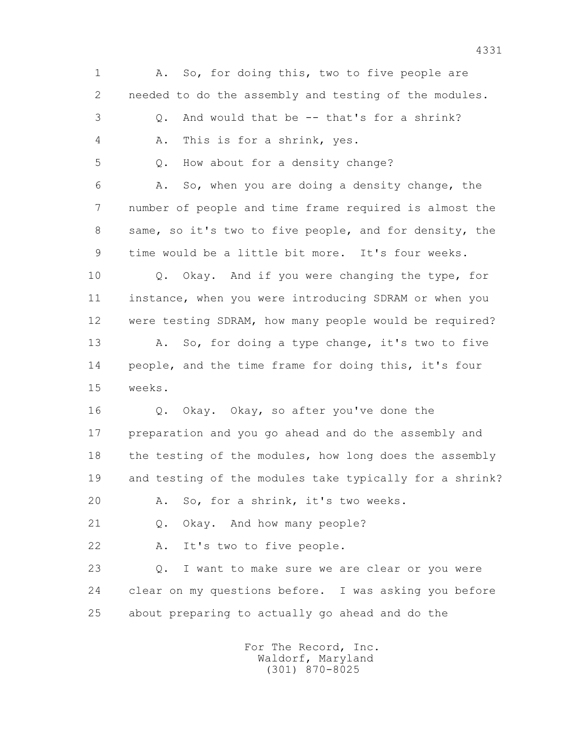1 A. So, for doing this, two to five people are 2 needed to do the assembly and testing of the modules. 3 Q. And would that be -- that's for a shrink? 4 A. This is for a shrink, yes. 5 Q. How about for a density change? 6 A. So, when you are doing a density change, the 7 number of people and time frame required is almost the 8 same, so it's two to five people, and for density, the 9 time would be a little bit more. It's four weeks. 10 Q. Okay. And if you were changing the type, for 11 instance, when you were introducing SDRAM or when you 12 were testing SDRAM, how many people would be required? 13 A. So, for doing a type change, it's two to five 14 people, and the time frame for doing this, it's four 15 weeks. 16 Q. Okay. Okay, so after you've done the 17 preparation and you go ahead and do the assembly and 18 the testing of the modules, how long does the assembly 19 and testing of the modules take typically for a shrink? 20 A. So, for a shrink, it's two weeks. 21 Q. Okay. And how many people? 22 A. It's two to five people. 23 Q. I want to make sure we are clear or you were 24 clear on my questions before. I was asking you before 25 about preparing to actually go ahead and do the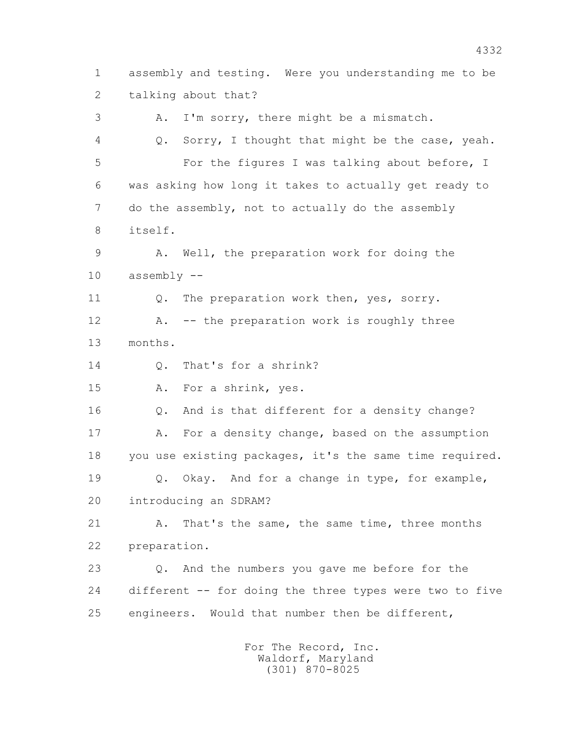1 assembly and testing. Were you understanding me to be 2 talking about that? 3 A. I'm sorry, there might be a mismatch. 4 Q. Sorry, I thought that might be the case, yeah. 5 For the figures I was talking about before, I

 6 was asking how long it takes to actually get ready to 7 do the assembly, not to actually do the assembly 8 itself.

 9 A. Well, the preparation work for doing the 10 assembly --

11 0. The preparation work then, yes, sorry.

 12 A. -- the preparation work is roughly three 13 months.

14 Q. That's for a shrink?

15 A. For a shrink, yes.

16 Q. And is that different for a density change?

17 A. For a density change, based on the assumption 18 you use existing packages, it's the same time required.

 19 Q. Okay. And for a change in type, for example, 20 introducing an SDRAM?

 21 A. That's the same, the same time, three months 22 preparation.

 23 Q. And the numbers you gave me before for the 24 different -- for doing the three types were two to five 25 engineers. Would that number then be different,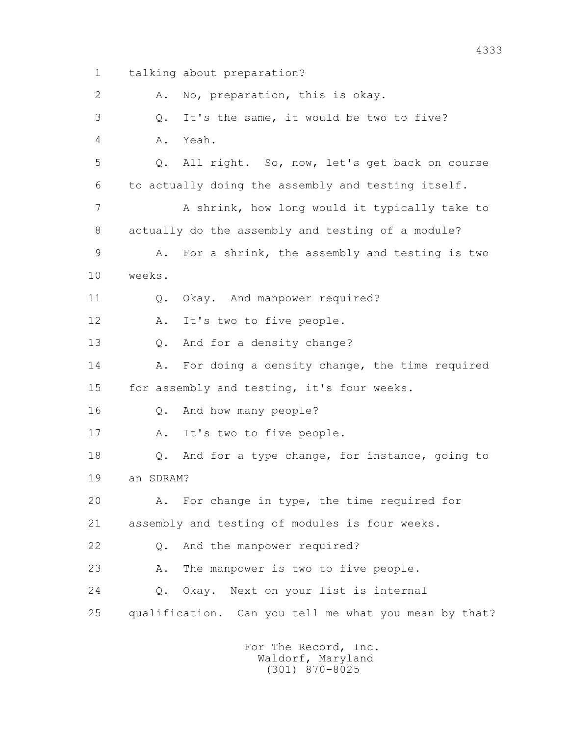1 talking about preparation? 2 A. No, preparation, this is okay. 3 Q. It's the same, it would be two to five? 4 A. Yeah. 5 Q. All right. So, now, let's get back on course 6 to actually doing the assembly and testing itself. 7 A shrink, how long would it typically take to 8 actually do the assembly and testing of a module? 9 A. For a shrink, the assembly and testing is two 10 weeks. 11 0. Okay. And manpower required? 12 A. It's two to five people. 13 Q. And for a density change? 14 A. For doing a density change, the time required 15 for assembly and testing, it's four weeks. 16 Q. And how many people? 17 A. It's two to five people. 18 Q. And for a type change, for instance, going to 19 an SDRAM? 20 A. For change in type, the time required for 21 assembly and testing of modules is four weeks. 22 Q. And the manpower required? 23 A. The manpower is two to five people. 24 Q. Okay. Next on your list is internal 25 qualification. Can you tell me what you mean by that?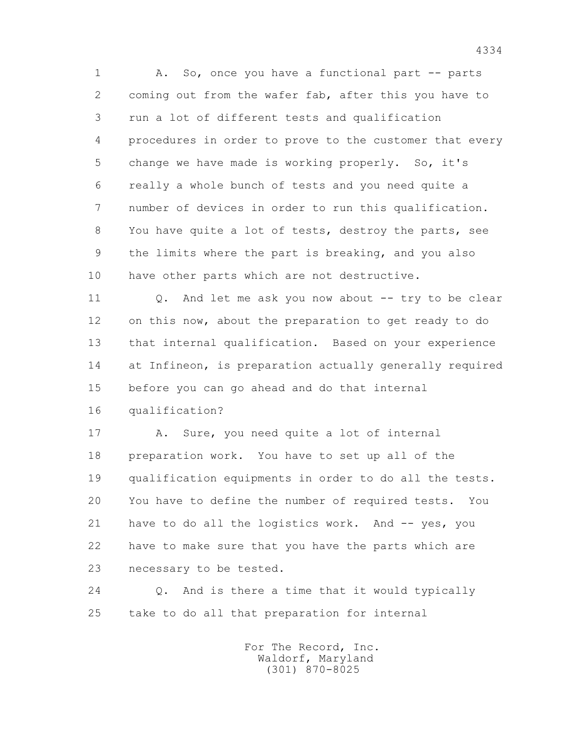1 A. So, once you have a functional part -- parts 2 coming out from the wafer fab, after this you have to 3 run a lot of different tests and qualification 4 procedures in order to prove to the customer that every 5 change we have made is working properly. So, it's 6 really a whole bunch of tests and you need quite a 7 number of devices in order to run this qualification. 8 You have quite a lot of tests, destroy the parts, see 9 the limits where the part is breaking, and you also 10 have other parts which are not destructive.

 11 Q. And let me ask you now about -- try to be clear 12 on this now, about the preparation to get ready to do 13 that internal qualification. Based on your experience 14 at Infineon, is preparation actually generally required 15 before you can go ahead and do that internal 16 qualification?

17 A. Sure, you need quite a lot of internal 18 preparation work. You have to set up all of the 19 qualification equipments in order to do all the tests. 20 You have to define the number of required tests. You 21 have to do all the logistics work. And -- yes, you 22 have to make sure that you have the parts which are 23 necessary to be tested.

 24 Q. And is there a time that it would typically 25 take to do all that preparation for internal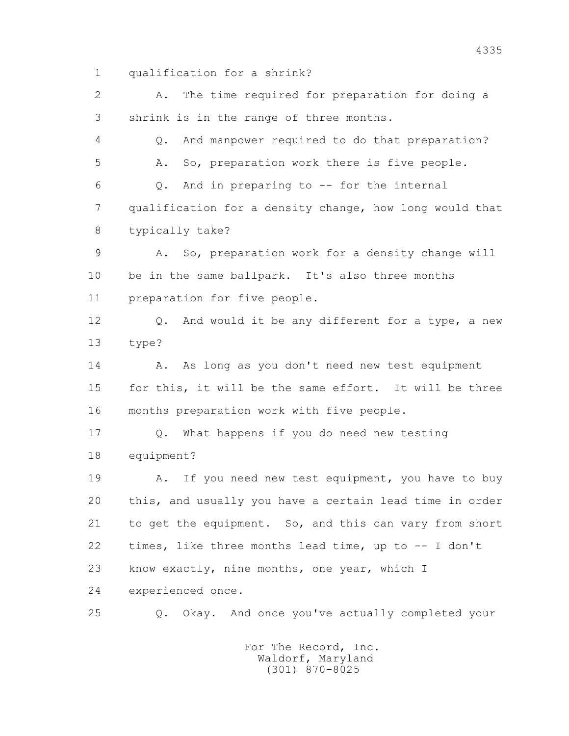1 qualification for a shrink?

 2 A. The time required for preparation for doing a 3 shrink is in the range of three months. 4 Q. And manpower required to do that preparation? 5 A. So, preparation work there is five people. 6 Q. And in preparing to -- for the internal 7 qualification for a density change, how long would that 8 typically take? 9 A. So, preparation work for a density change will 10 be in the same ballpark. It's also three months 11 preparation for five people. 12 Q. And would it be any different for a type, a new 13 type? 14 A. As long as you don't need new test equipment 15 for this, it will be the same effort. It will be three 16 months preparation work with five people. 17 Q. What happens if you do need new testing 18 equipment? 19 A. If you need new test equipment, you have to buy 20 this, and usually you have a certain lead time in order 21 to get the equipment. So, and this can vary from short 22 times, like three months lead time, up to -- I don't 23 know exactly, nine months, one year, which I 24 experienced once. 25 Q. Okay. And once you've actually completed your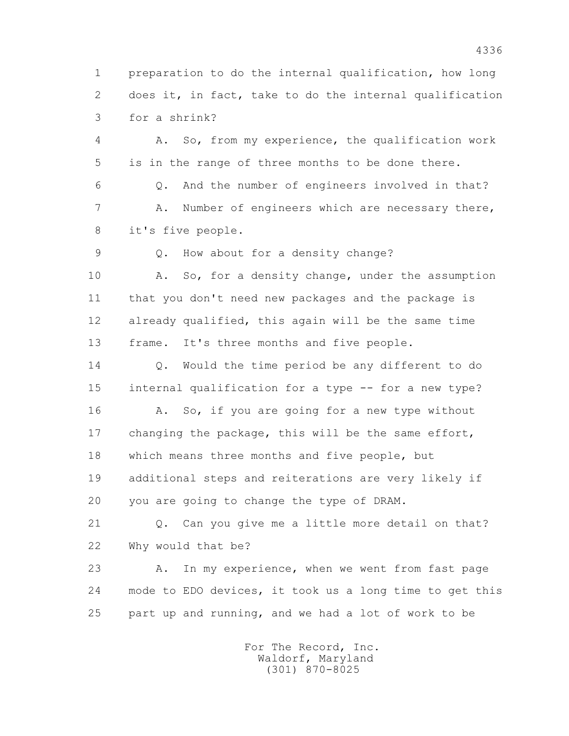1 preparation to do the internal qualification, how long 2 does it, in fact, take to do the internal qualification 3 for a shrink?

 4 A. So, from my experience, the qualification work 5 is in the range of three months to be done there.

 6 Q. And the number of engineers involved in that? 7 A. Number of engineers which are necessary there, 8 it's five people.

9 Q. How about for a density change?

10 A. So, for a density change, under the assumption 11 that you don't need new packages and the package is 12 already qualified, this again will be the same time 13 frame. It's three months and five people.

 14 Q. Would the time period be any different to do 15 internal qualification for a type -- for a new type? 16 A. So, if you are going for a new type without 17 changing the package, this will be the same effort, 18 which means three months and five people, but 19 additional steps and reiterations are very likely if 20 you are going to change the type of DRAM.

 21 Q. Can you give me a little more detail on that? 22 Why would that be?

 23 A. In my experience, when we went from fast page 24 mode to EDO devices, it took us a long time to get this 25 part up and running, and we had a lot of work to be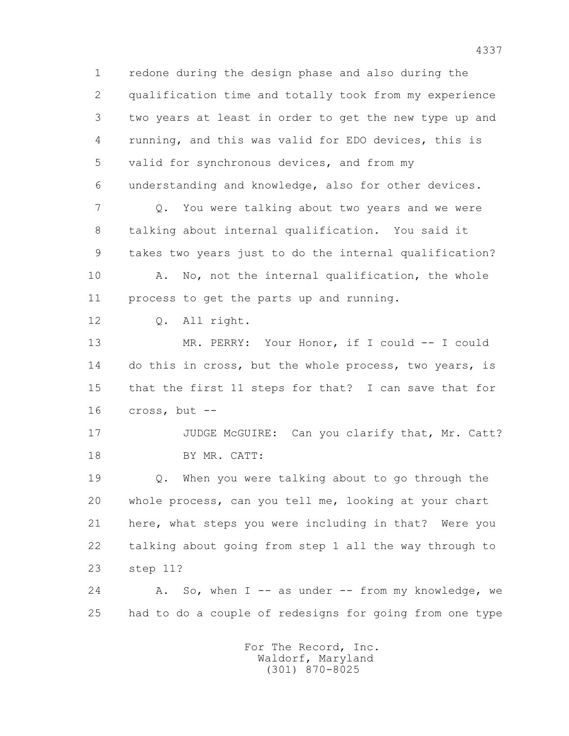1 redone during the design phase and also during the 2 qualification time and totally took from my experience 3 two years at least in order to get the new type up and 4 running, and this was valid for EDO devices, this is 5 valid for synchronous devices, and from my 6 understanding and knowledge, also for other devices. 7 Q. You were talking about two years and we were 8 talking about internal qualification. You said it 9 takes two years just to do the internal qualification? 10 A. No, not the internal qualification, the whole 11 process to get the parts up and running. 12 Q. All right. 13 MR. PERRY: Your Honor, if I could -- I could 14 do this in cross, but the whole process, two years, is 15 that the first 11 steps for that? I can save that for 16 cross, but -- 17 JUDGE McGUIRE: Can you clarify that, Mr. Catt? 18 BY MR. CATT: 19 Q. When you were talking about to go through the 20 whole process, can you tell me, looking at your chart 21 here, what steps you were including in that? Were you 22 talking about going from step 1 all the way through to 23 step 11?  $24$  A. So, when I -- as under -- from my knowledge, we 25 had to do a couple of redesigns for going from one type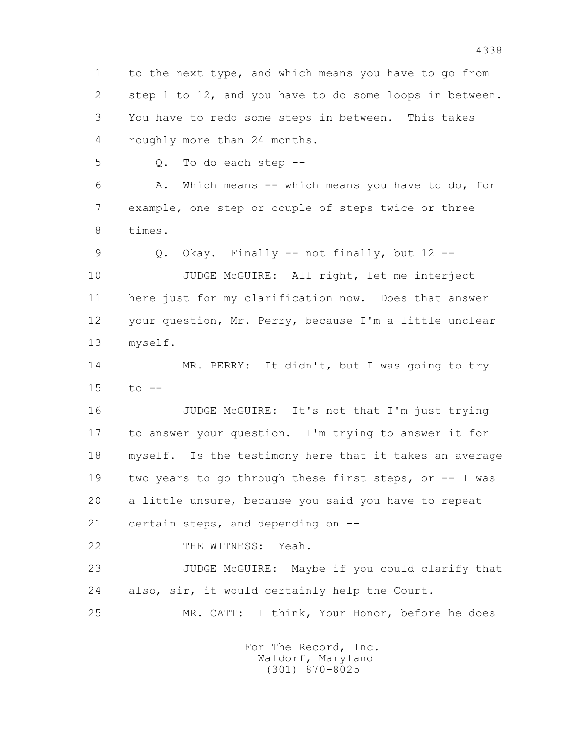1 to the next type, and which means you have to go from 2 step 1 to 12, and you have to do some loops in between. 3 You have to redo some steps in between. This takes 4 roughly more than 24 months. 5 Q. To do each step -- 6 A. Which means -- which means you have to do, for

 7 example, one step or couple of steps twice or three 8 times.

9 Q. Okay. Finally -- not finally, but 12 --

 10 JUDGE McGUIRE: All right, let me interject 11 here just for my clarification now. Does that answer 12 your question, Mr. Perry, because I'm a little unclear 13 myself.

 14 MR. PERRY: It didn't, but I was going to try 15 to --

 16 JUDGE McGUIRE: It's not that I'm just trying 17 to answer your question. I'm trying to answer it for 18 myself. Is the testimony here that it takes an average 19 two years to go through these first steps, or -- I was 20 a little unsure, because you said you have to repeat 21 certain steps, and depending on --

22 THE WITNESS: Yeah.

 23 JUDGE McGUIRE: Maybe if you could clarify that 24 also, sir, it would certainly help the Court.

25 MR. CATT: I think, Your Honor, before he does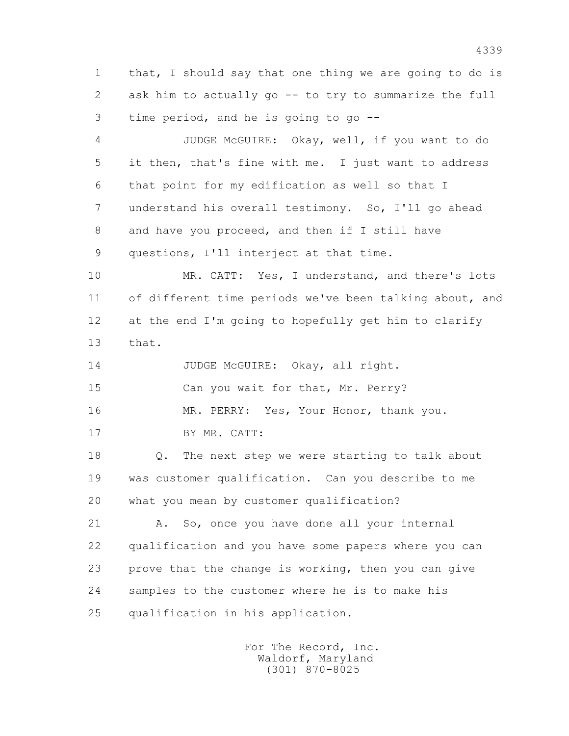1 that, I should say that one thing we are going to do is 2 ask him to actually go -- to try to summarize the full 3 time period, and he is going to go --

 4 JUDGE McGUIRE: Okay, well, if you want to do 5 it then, that's fine with me. I just want to address 6 that point for my edification as well so that I 7 understand his overall testimony. So, I'll go ahead 8 and have you proceed, and then if I still have 9 questions, I'll interject at that time.

 10 MR. CATT: Yes, I understand, and there's lots 11 of different time periods we've been talking about, and 12 at the end I'm going to hopefully get him to clarify 13 that.

14 JUDGE McGUIRE: Okay, all right.

15 Can you wait for that, Mr. Perry?

16 MR. PERRY: Yes, Your Honor, thank you.

17 BY MR. CATT:

 18 Q. The next step we were starting to talk about 19 was customer qualification. Can you describe to me 20 what you mean by customer qualification?

21 A. So, once you have done all your internal 22 qualification and you have some papers where you can 23 prove that the change is working, then you can give 24 samples to the customer where he is to make his 25 qualification in his application.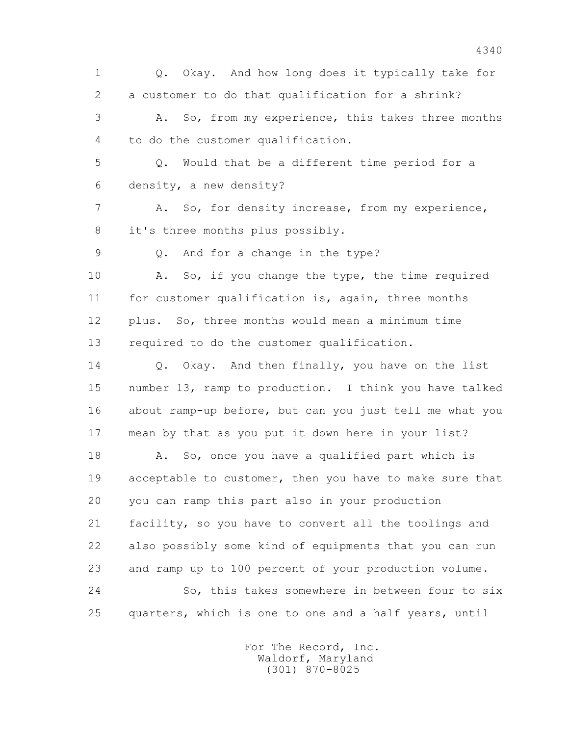1 Q. Okay. And how long does it typically take for 2 a customer to do that qualification for a shrink? 3 A. So, from my experience, this takes three months 4 to do the customer qualification. 5 Q. Would that be a different time period for a 6 density, a new density? 7 A. So, for density increase, from my experience, 8 it's three months plus possibly. 9 Q. And for a change in the type? 10 A. So, if you change the type, the time required 11 for customer qualification is, again, three months 12 plus. So, three months would mean a minimum time 13 required to do the customer qualification. 14 0. Okay. And then finally, you have on the list 15 number 13, ramp to production. I think you have talked 16 about ramp-up before, but can you just tell me what you 17 mean by that as you put it down here in your list? 18 A. So, once you have a qualified part which is 19 acceptable to customer, then you have to make sure that 20 you can ramp this part also in your production 21 facility, so you have to convert all the toolings and 22 also possibly some kind of equipments that you can run 23 and ramp up to 100 percent of your production volume. 24 So, this takes somewhere in between four to six 25 quarters, which is one to one and a half years, until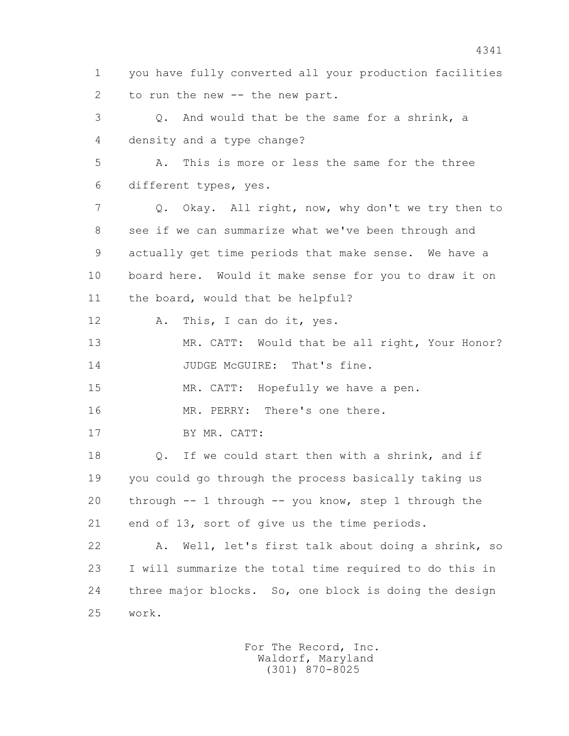1 you have fully converted all your production facilities 2 to run the new -- the new part. 3 Q. And would that be the same for a shrink, a 4 density and a type change? 5 A. This is more or less the same for the three 6 different types, yes. 7 Q. Okay. All right, now, why don't we try then to 8 see if we can summarize what we've been through and 9 actually get time periods that make sense. We have a 10 board here. Would it make sense for you to draw it on 11 the board, would that be helpful? 12 A. This, I can do it, yes. 13 MR. CATT: Would that be all right, Your Honor? 14 JUDGE McGUIRE: That's fine. 15 MR. CATT: Hopefully we have a pen. 16 MR. PERRY: There's one there. 17 BY MR. CATT: 18 Q. If we could start then with a shrink, and if 19 you could go through the process basically taking us 20 through -- 1 through -- you know, step 1 through the 21 end of 13, sort of give us the time periods. 22 A. Well, let's first talk about doing a shrink, so 23 I will summarize the total time required to do this in 24 three major blocks. So, one block is doing the design 25 work.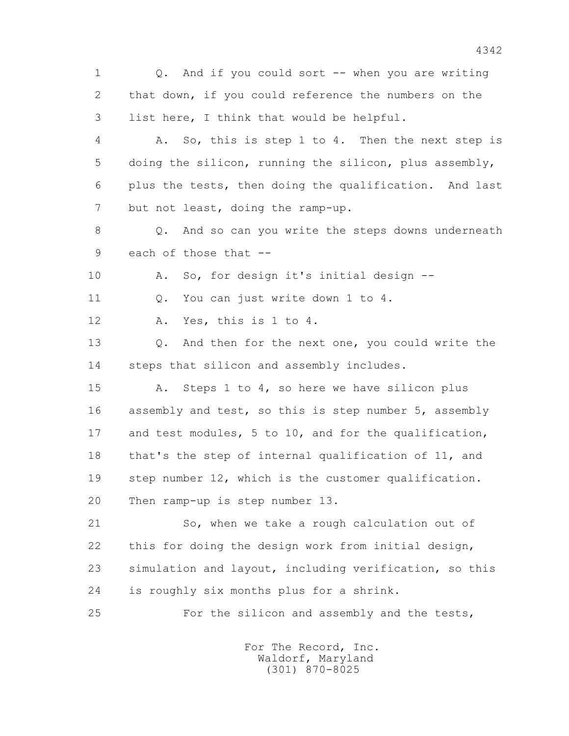1 0. And if you could sort -- when you are writing 2 that down, if you could reference the numbers on the 3 list here, I think that would be helpful. 4 A. So, this is step 1 to 4. Then the next step is

 5 doing the silicon, running the silicon, plus assembly, 6 plus the tests, then doing the qualification. And last 7 but not least, doing the ramp-up.

 8 Q. And so can you write the steps downs underneath 9 each of those that --

10 A. So, for design it's initial design --

11 0. You can just write down 1 to 4.

12 A. Yes, this is 1 to 4.

 13 Q. And then for the next one, you could write the 14 steps that silicon and assembly includes.

 15 A. Steps 1 to 4, so here we have silicon plus 16 assembly and test, so this is step number 5, assembly 17 and test modules, 5 to 10, and for the qualification, 18 that's the step of internal qualification of 11, and 19 step number 12, which is the customer qualification. 20 Then ramp-up is step number 13.

 21 So, when we take a rough calculation out of 22 this for doing the design work from initial design, 23 simulation and layout, including verification, so this 24 is roughly six months plus for a shrink.

25 For the silicon and assembly and the tests,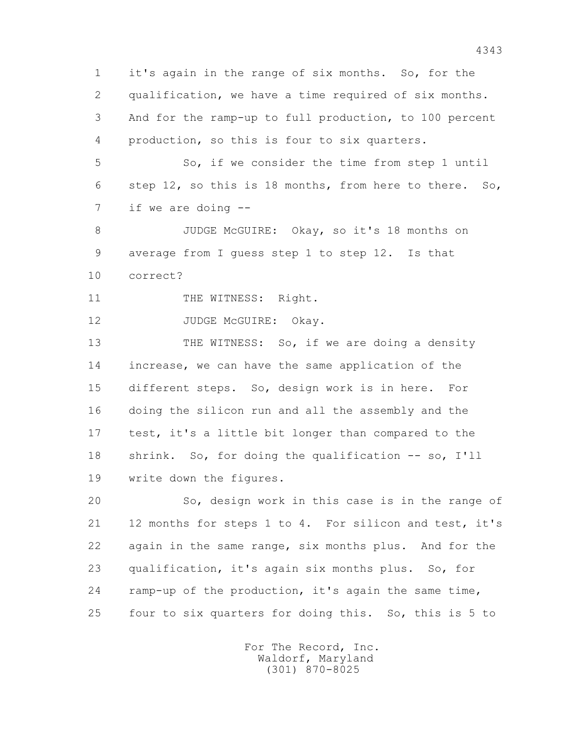1 it's again in the range of six months. So, for the 2 qualification, we have a time required of six months. 3 And for the ramp-up to full production, to 100 percent 4 production, so this is four to six quarters.

 5 So, if we consider the time from step 1 until 6 step 12, so this is 18 months, from here to there. So, 7 if we are doing --

 8 JUDGE McGUIRE: Okay, so it's 18 months on 9 average from I guess step 1 to step 12. Is that 10 correct?

11 THE WITNESS: Right.

12 JUDGE McGUIRE: Okay.

13 THE WITNESS: So, if we are doing a density 14 increase, we can have the same application of the 15 different steps. So, design work is in here. For 16 doing the silicon run and all the assembly and the 17 test, it's a little bit longer than compared to the 18 shrink. So, for doing the qualification -- so, I'll 19 write down the figures.

 20 So, design work in this case is in the range of 21 12 months for steps 1 to 4. For silicon and test, it's 22 again in the same range, six months plus. And for the 23 qualification, it's again six months plus. So, for 24 ramp-up of the production, it's again the same time, 25 four to six quarters for doing this. So, this is 5 to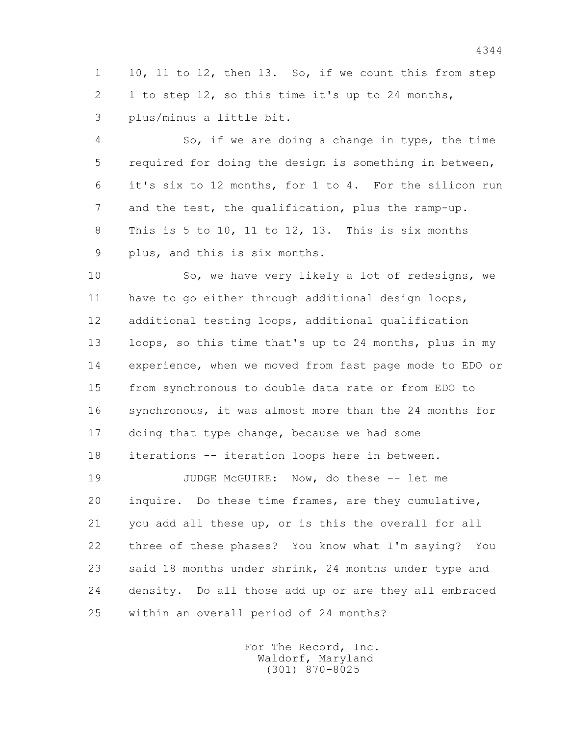1 10, 11 to 12, then 13. So, if we count this from step 2 1 to step 12, so this time it's up to 24 months, 3 plus/minus a little bit.

 4 So, if we are doing a change in type, the time 5 required for doing the design is something in between, 6 it's six to 12 months, for 1 to 4. For the silicon run 7 and the test, the qualification, plus the ramp-up. 8 This is 5 to 10, 11 to 12, 13. This is six months 9 plus, and this is six months.

 10 So, we have very likely a lot of redesigns, we 11 have to go either through additional design loops, 12 additional testing loops, additional qualification 13 loops, so this time that's up to 24 months, plus in my 14 experience, when we moved from fast page mode to EDO or 15 from synchronous to double data rate or from EDO to 16 synchronous, it was almost more than the 24 months for 17 doing that type change, because we had some 18 iterations -- iteration loops here in between.

19 JUDGE McGUIRE: Now, do these -- let me 20 inquire. Do these time frames, are they cumulative, 21 you add all these up, or is this the overall for all 22 three of these phases? You know what I'm saying? You 23 said 18 months under shrink, 24 months under type and 24 density. Do all those add up or are they all embraced 25 within an overall period of 24 months?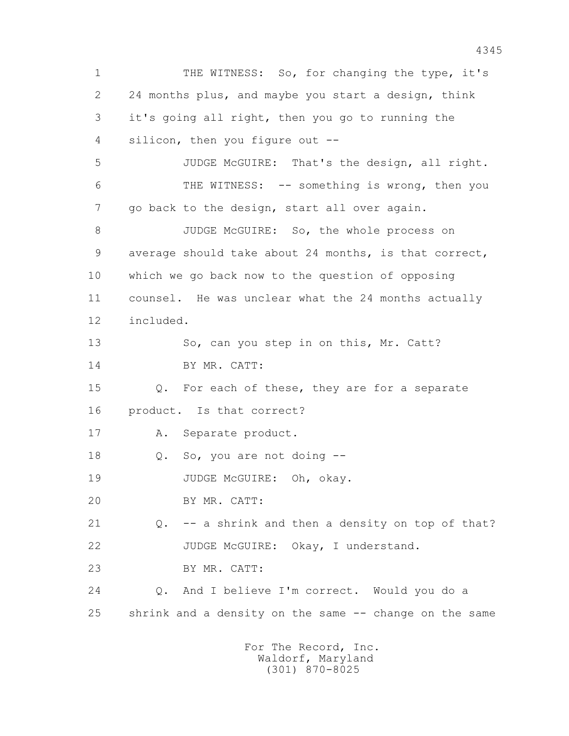1 THE WITNESS: So, for changing the type, it's 2 24 months plus, and maybe you start a design, think 3 it's going all right, then you go to running the 4 silicon, then you figure out -- 5 JUDGE McGUIRE: That's the design, all right. 6 THE WITNESS: -- something is wrong, then you 7 go back to the design, start all over again. 8 JUDGE McGUIRE: So, the whole process on 9 average should take about 24 months, is that correct, 10 which we go back now to the question of opposing 11 counsel. He was unclear what the 24 months actually 12 included. 13 So, can you step in on this, Mr. Catt? 14 BY MR. CATT: 15 Q. For each of these, they are for a separate 16 product. Is that correct? 17 A. Separate product. 18 Q. So, you are not doing -- 19 JUDGE McGUIRE: Oh, okay. 20 BY MR. CATT: 21 Q. -- a shrink and then a density on top of that? 22 JUDGE McGUIRE: Okay, I understand. 23 BY MR. CATT: 24 Q. And I believe I'm correct. Would you do a 25 shrink and a density on the same -- change on the same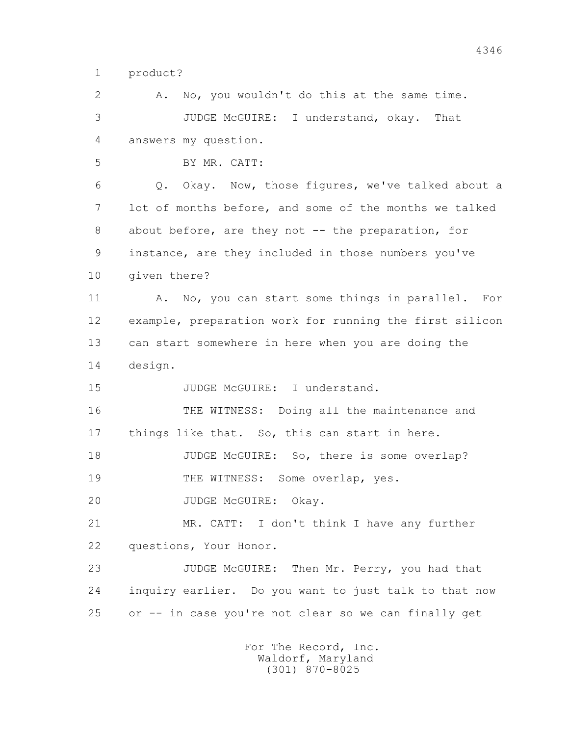1 product?

 2 A. No, you wouldn't do this at the same time. 3 JUDGE McGUIRE: I understand, okay. That 4 answers my question. 5 BY MR. CATT: 6 Q. Okay. Now, those figures, we've talked about a 7 lot of months before, and some of the months we talked 8 about before, are they not -- the preparation, for 9 instance, are they included in those numbers you've 10 given there? 11 A. No, you can start some things in parallel. For 12 example, preparation work for running the first silicon 13 can start somewhere in here when you are doing the 14 design. 15 JUDGE McGUIRE: I understand. 16 THE WITNESS: Doing all the maintenance and 17 things like that. So, this can start in here. 18 JUDGE McGUIRE: So, there is some overlap? 19 THE WITNESS: Some overlap, yes. 20 JUDGE McGUIRE: Okay. 21 MR. CATT: I don't think I have any further 22 questions, Your Honor. 23 JUDGE McGUIRE: Then Mr. Perry, you had that 24 inquiry earlier. Do you want to just talk to that now 25 or -- in case you're not clear so we can finally get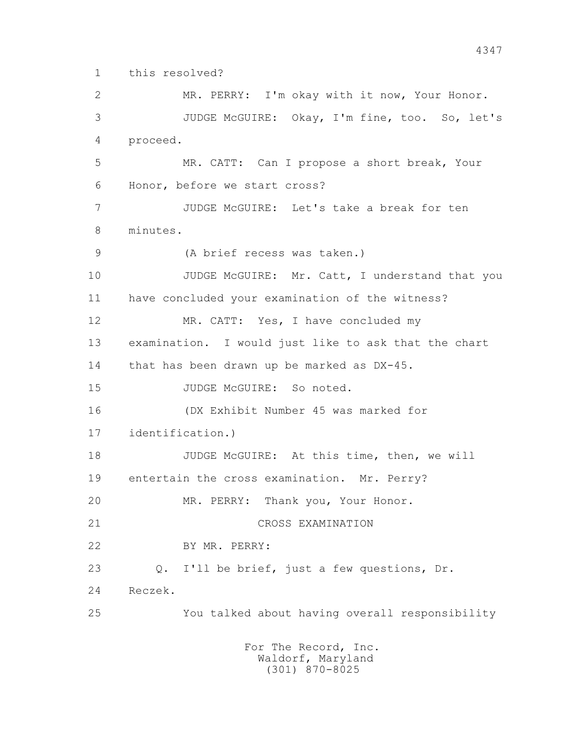1 this resolved?

 2 MR. PERRY: I'm okay with it now, Your Honor. 3 JUDGE McGUIRE: Okay, I'm fine, too. So, let's 4 proceed. 5 MR. CATT: Can I propose a short break, Your 6 Honor, before we start cross? 7 JUDGE McGUIRE: Let's take a break for ten 8 minutes. 9 (A brief recess was taken.) 10 JUDGE McGUIRE: Mr. Catt, I understand that you 11 have concluded your examination of the witness? 12 MR. CATT: Yes, I have concluded my 13 examination. I would just like to ask that the chart 14 that has been drawn up be marked as DX-45. 15 JUDGE McGUIRE: So noted. 16 (DX Exhibit Number 45 was marked for 17 identification.) 18 JUDGE McGUIRE: At this time, then, we will 19 entertain the cross examination. Mr. Perry? 20 MR. PERRY: Thank you, Your Honor. 21 CROSS EXAMINATION 22 BY MR. PERRY: 23 Q. I'll be brief, just a few questions, Dr. 24 Reczek. 25 You talked about having overall responsibility For The Record, Inc.

 Waldorf, Maryland (301) 870-8025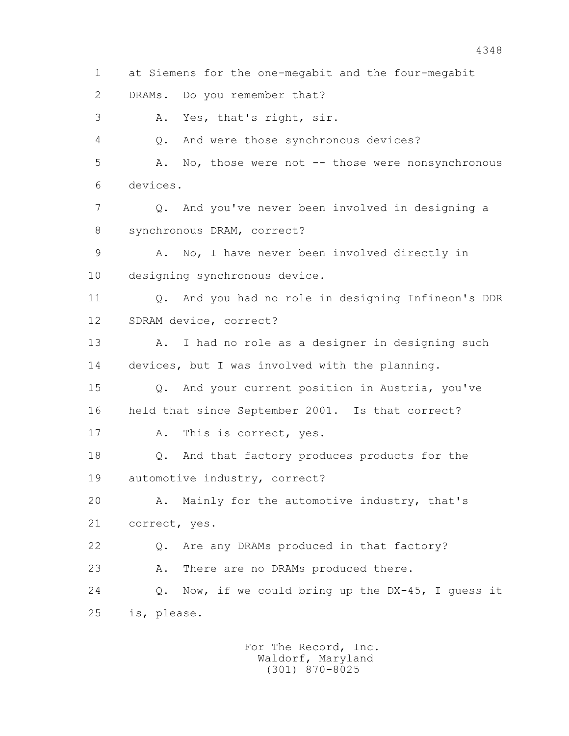4 Q. And were those synchronous devices? 5 A. No, those were not -- those were nonsynchronous 6 devices. 7 Q. And you've never been involved in designing a 8 synchronous DRAM, correct? 9 A. No, I have never been involved directly in 10 designing synchronous device. 11 Q. And you had no role in designing Infineon's DDR 12 SDRAM device, correct? 13 A. I had no role as a designer in designing such 14 devices, but I was involved with the planning. 15 Q. And your current position in Austria, you've 16 held that since September 2001. Is that correct? 17 A. This is correct, yes. 18 Q. And that factory produces products for the 19 automotive industry, correct? 20 A. Mainly for the automotive industry, that's 21 correct, yes. 22 Q. Are any DRAMs produced in that factory? 23 A. There are no DRAMs produced there. 24 Q. Now, if we could bring up the DX-45, I guess it 25 is, please. For The Record, Inc. Waldorf, Maryland (301) 870-8025

1 at Siemens for the one-megabit and the four-megabit

2 DRAMs. Do you remember that?

3 A. Yes, that's right, sir.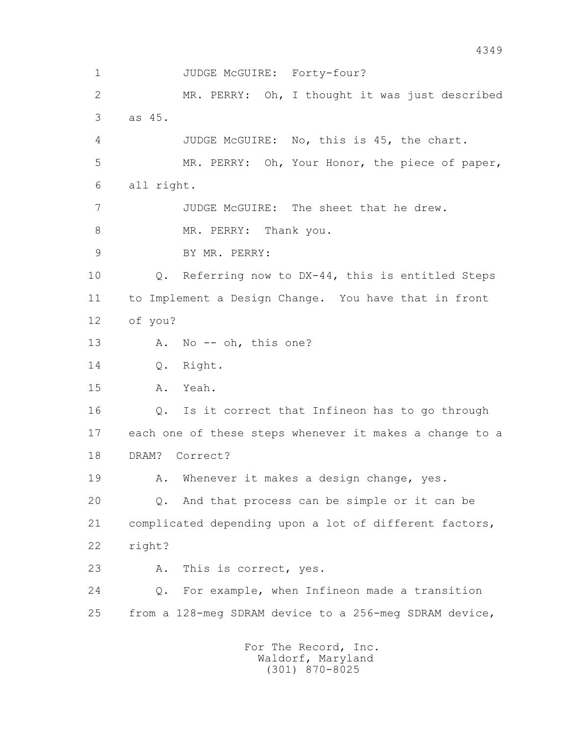1 JUDGE McGUIRE: Forty-four? 2 MR. PERRY: Oh, I thought it was just described 3 as 45. 4 JUDGE McGUIRE: No, this is 45, the chart. 5 MR. PERRY: Oh, Your Honor, the piece of paper, 6 all right. 7 JUDGE McGUIRE: The sheet that he drew. 8 MR. PERRY: Thank you. 9 BY MR. PERRY: 10 Q. Referring now to DX-44, this is entitled Steps 11 to Implement a Design Change. You have that in front 12 of you? 13 A. No -- oh, this one? 14 0. Right. 15 A. Yeah. 16 Q. Is it correct that Infineon has to go through 17 each one of these steps whenever it makes a change to a 18 DRAM? Correct? 19 A. Whenever it makes a design change, yes. 20 Q. And that process can be simple or it can be 21 complicated depending upon a lot of different factors, 22 right? 23 A. This is correct, yes. 24 Q. For example, when Infineon made a transition 25 from a 128-meg SDRAM device to a 256-meg SDRAM device, For The Record, Inc.

 Waldorf, Maryland (301) 870-8025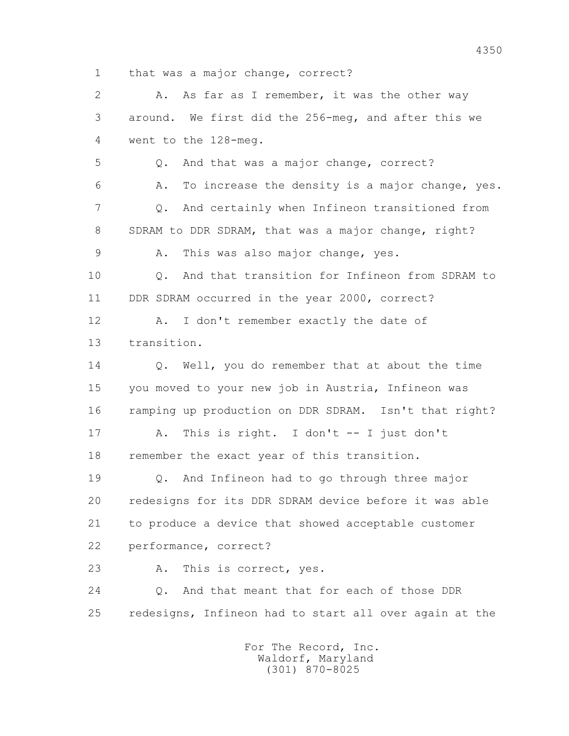1 that was a major change, correct?

 2 A. As far as I remember, it was the other way 3 around. We first did the 256-meg, and after this we 4 went to the 128-meg. 5 Q. And that was a major change, correct? 6 A. To increase the density is a major change, yes. 7 Q. And certainly when Infineon transitioned from 8 SDRAM to DDR SDRAM, that was a major change, right? 9 A. This was also major change, yes. 10 Q. And that transition for Infineon from SDRAM to 11 DDR SDRAM occurred in the year 2000, correct? 12 A. I don't remember exactly the date of 13 transition. 14 Q. Well, you do remember that at about the time 15 you moved to your new job in Austria, Infineon was 16 ramping up production on DDR SDRAM. Isn't that right? 17 A. This is right. I don't -- I just don't 18 remember the exact year of this transition. 19 Q. And Infineon had to go through three major 20 redesigns for its DDR SDRAM device before it was able 21 to produce a device that showed acceptable customer 22 performance, correct? 23 A. This is correct, yes. 24 Q. And that meant that for each of those DDR 25 redesigns, Infineon had to start all over again at the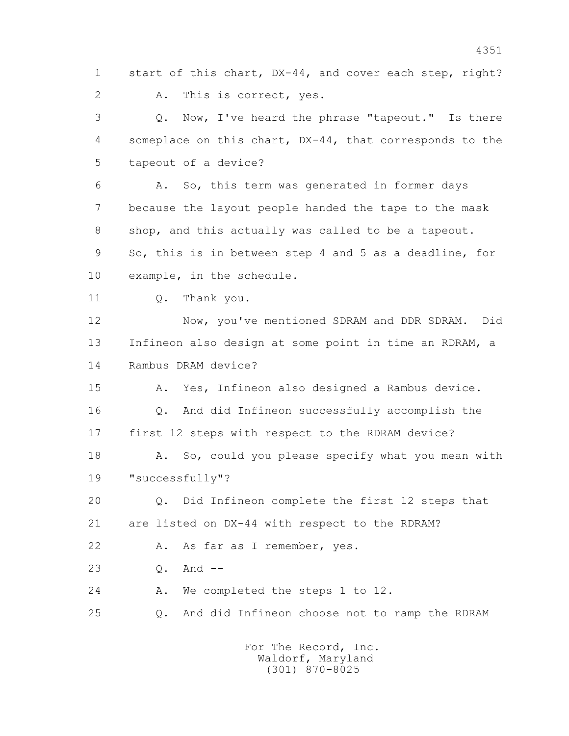1 start of this chart, DX-44, and cover each step, right? 2 A. This is correct, yes. 3 Q. Now, I've heard the phrase "tapeout." Is there 4 someplace on this chart, DX-44, that corresponds to the 5 tapeout of a device? 6 A. So, this term was generated in former days 7 because the layout people handed the tape to the mask 8 shop, and this actually was called to be a tapeout. 9 So, this is in between step 4 and 5 as a deadline, for 10 example, in the schedule. 11 0. Thank you. 12 Now, you've mentioned SDRAM and DDR SDRAM. Did 13 Infineon also design at some point in time an RDRAM, a 14 Rambus DRAM device? 15 A. Yes, Infineon also designed a Rambus device. 16 Q. And did Infineon successfully accomplish the 17 first 12 steps with respect to the RDRAM device? 18 A. So, could you please specify what you mean with 19 "successfully"? 20 Q. Did Infineon complete the first 12 steps that 21 are listed on DX-44 with respect to the RDRAM? 22 A. As far as I remember, yes.

23 Q. And --

24 A. We completed the steps 1 to 12.

25 Q. And did Infineon choose not to ramp the RDRAM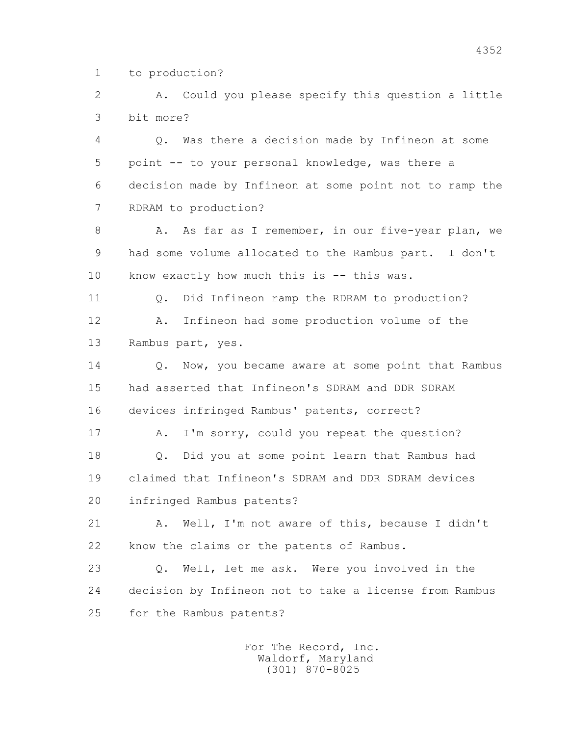1 to production?

 2 A. Could you please specify this question a little 3 bit more?

 4 Q. Was there a decision made by Infineon at some 5 point -- to your personal knowledge, was there a 6 decision made by Infineon at some point not to ramp the 7 RDRAM to production?

8 A. As far as I remember, in our five-year plan, we 9 had some volume allocated to the Rambus part. I don't 10 know exactly how much this is -- this was.

11 0. Did Infineon ramp the RDRAM to production? 12 A. Infineon had some production volume of the

13 Rambus part, yes.

14 0. Now, you became aware at some point that Rambus 15 had asserted that Infineon's SDRAM and DDR SDRAM 16 devices infringed Rambus' patents, correct?

17 A. I'm sorry, could you repeat the question? 18 Q. Did you at some point learn that Rambus had 19 claimed that Infineon's SDRAM and DDR SDRAM devices 20 infringed Rambus patents?

 21 A. Well, I'm not aware of this, because I didn't 22 know the claims or the patents of Rambus.

 23 Q. Well, let me ask. Were you involved in the 24 decision by Infineon not to take a license from Rambus 25 for the Rambus patents?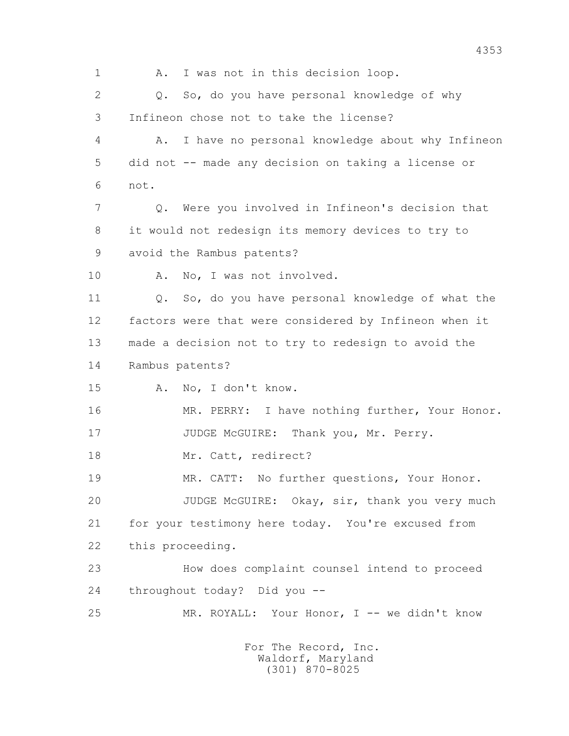1 A. I was not in this decision loop. 2 0. So, do you have personal knowledge of why 3 Infineon chose not to take the license? 4 A. I have no personal knowledge about why Infineon 5 did not -- made any decision on taking a license or 6 not. 7 Q. Were you involved in Infineon's decision that 8 it would not redesign its memory devices to try to 9 avoid the Rambus patents? 10 A. No, I was not involved. 11 Q. So, do you have personal knowledge of what the 12 factors were that were considered by Infineon when it 13 made a decision not to try to redesign to avoid the 14 Rambus patents? 15 A. No, I don't know. 16 MR. PERRY: I have nothing further, Your Honor. 17 JUDGE McGUIRE: Thank you, Mr. Perry. 18 Mr. Catt, redirect? 19 MR. CATT: No further questions, Your Honor. 20 JUDGE McGUIRE: Okay, sir, thank you very much 21 for your testimony here today. You're excused from 22 this proceeding. 23 How does complaint counsel intend to proceed 24 throughout today? Did you -- 25 MR. ROYALL: Your Honor, I -- we didn't know For The Record, Inc.

 Waldorf, Maryland (301) 870-8025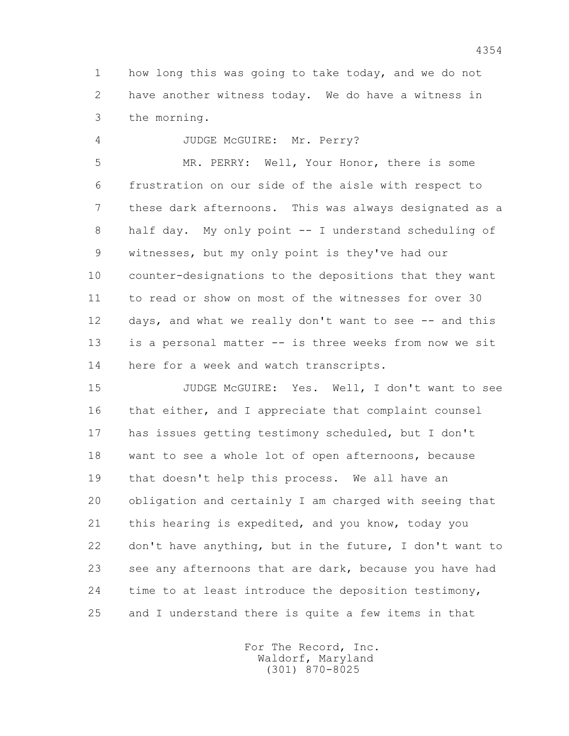1 how long this was going to take today, and we do not 2 have another witness today. We do have a witness in 3 the morning.

4 JUDGE McGUIRE: Mr. Perry?

 5 MR. PERRY: Well, Your Honor, there is some 6 frustration on our side of the aisle with respect to 7 these dark afternoons. This was always designated as a 8 half day. My only point -- I understand scheduling of 9 witnesses, but my only point is they've had our 10 counter-designations to the depositions that they want 11 to read or show on most of the witnesses for over 30 12 days, and what we really don't want to see -- and this 13 is a personal matter -- is three weeks from now we sit 14 here for a week and watch transcripts.

 15 JUDGE McGUIRE: Yes. Well, I don't want to see 16 that either, and I appreciate that complaint counsel 17 has issues getting testimony scheduled, but I don't 18 want to see a whole lot of open afternoons, because 19 that doesn't help this process. We all have an 20 obligation and certainly I am charged with seeing that 21 this hearing is expedited, and you know, today you 22 don't have anything, but in the future, I don't want to 23 see any afternoons that are dark, because you have had 24 time to at least introduce the deposition testimony, 25 and I understand there is quite a few items in that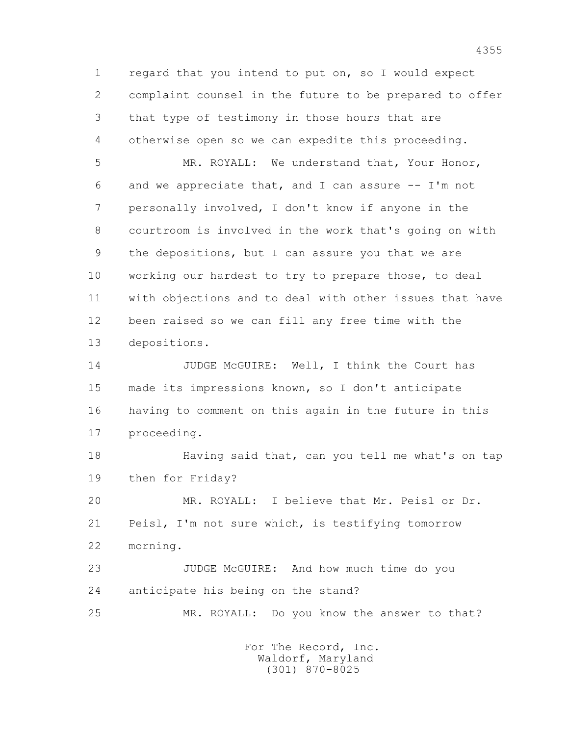1 regard that you intend to put on, so I would expect 2 complaint counsel in the future to be prepared to offer 3 that type of testimony in those hours that are 4 otherwise open so we can expedite this proceeding.

 5 MR. ROYALL: We understand that, Your Honor, 6 and we appreciate that, and I can assure  $-- I'm$  not 7 personally involved, I don't know if anyone in the 8 courtroom is involved in the work that's going on with 9 the depositions, but I can assure you that we are 10 working our hardest to try to prepare those, to deal 11 with objections and to deal with other issues that have 12 been raised so we can fill any free time with the 13 depositions.

 14 JUDGE McGUIRE: Well, I think the Court has 15 made its impressions known, so I don't anticipate 16 having to comment on this again in the future in this 17 proceeding.

 18 Having said that, can you tell me what's on tap 19 then for Friday?

 20 MR. ROYALL: I believe that Mr. Peisl or Dr. 21 Peisl, I'm not sure which, is testifying tomorrow 22 morning.

 23 JUDGE McGUIRE: And how much time do you 24 anticipate his being on the stand?

25 MR. ROYALL: Do you know the answer to that?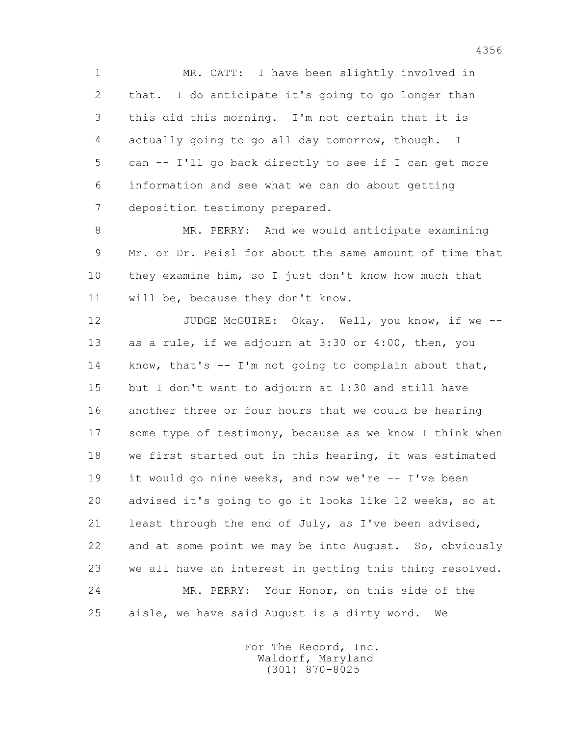1 MR. CATT: I have been slightly involved in 2 that. I do anticipate it's going to go longer than 3 this did this morning. I'm not certain that it is 4 actually going to go all day tomorrow, though. I 5 can -- I'll go back directly to see if I can get more 6 information and see what we can do about getting 7 deposition testimony prepared.

 8 MR. PERRY: And we would anticipate examining 9 Mr. or Dr. Peisl for about the same amount of time that 10 they examine him, so I just don't know how much that 11 will be, because they don't know.

12 JUDGE McGUIRE: Okay. Well, you know, if we -- 13 as a rule, if we adjourn at 3:30 or 4:00, then, you 14 know, that's -- I'm not going to complain about that, 15 but I don't want to adjourn at 1:30 and still have 16 another three or four hours that we could be hearing 17 some type of testimony, because as we know I think when 18 we first started out in this hearing, it was estimated 19 it would go nine weeks, and now we're -- I've been 20 advised it's going to go it looks like 12 weeks, so at 21 least through the end of July, as I've been advised, 22 and at some point we may be into August. So, obviously 23 we all have an interest in getting this thing resolved. 24 MR. PERRY: Your Honor, on this side of the 25 aisle, we have said August is a dirty word. We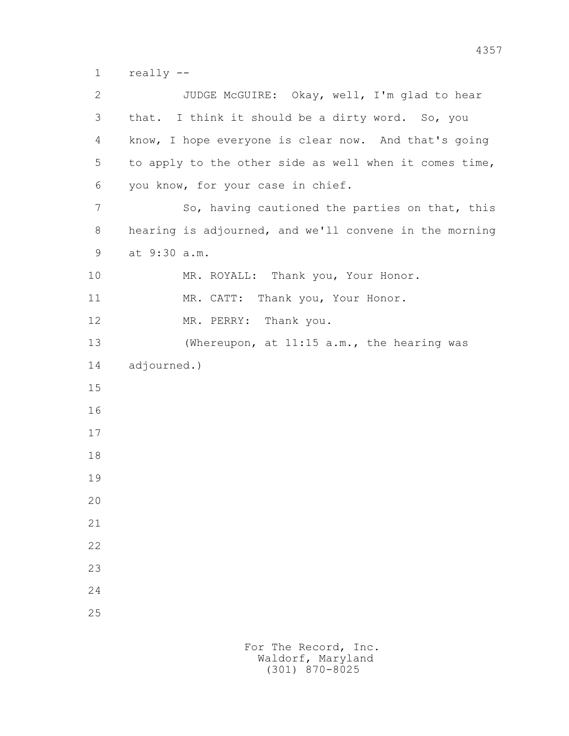1 really --

 2 JUDGE McGUIRE: Okay, well, I'm glad to hear 3 that. I think it should be a dirty word. So, you 4 know, I hope everyone is clear now. And that's going 5 to apply to the other side as well when it comes time, 6 you know, for your case in chief. 7 So, having cautioned the parties on that, this 8 hearing is adjourned, and we'll convene in the morning 9 at 9:30 a.m. 10 MR. ROYALL: Thank you, Your Honor. 11 MR. CATT: Thank you, Your Honor. 12 MR. PERRY: Thank you. 13 (Whereupon, at 11:15 a.m., the hearing was 14 adjourned.) 15 16 17 18 19 20 21 22 23 24 25